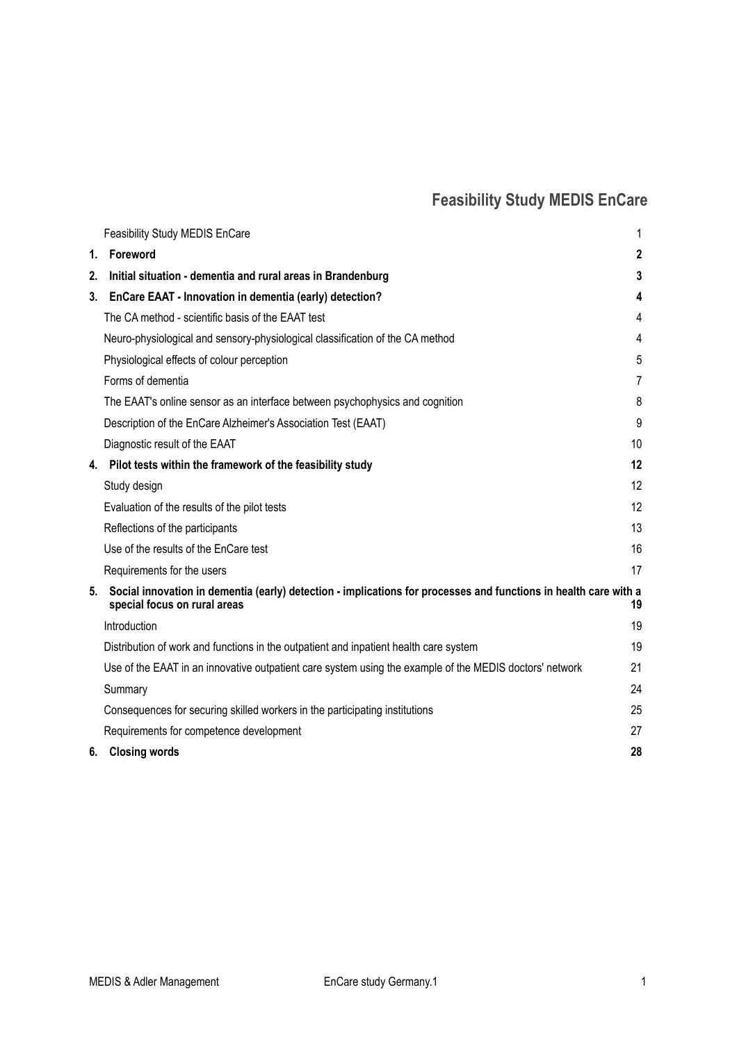# <span id="page-0-0"></span>**Feasibility Study MEDIS EnCare**

|    | <b>Feasibility Study MEDIS EnCare</b>                                                                                                            | 1              |
|----|--------------------------------------------------------------------------------------------------------------------------------------------------|----------------|
| 1. | Foreword                                                                                                                                         | $\mathbf 2$    |
| 2. | Initial situation - dementia and rural areas in Brandenburg                                                                                      | 3              |
| 3. | EnCare EAAT - Innovation in dementia (early) detection?                                                                                          | 4              |
|    | The CA method - scientific basis of the EAAT test                                                                                                | 4              |
|    | Neuro-physiological and sensory-physiological classification of the CA method                                                                    | 4              |
|    | Physiological effects of colour perception                                                                                                       | 5              |
|    | Forms of dementia                                                                                                                                | $\overline{7}$ |
|    | The EAAT's online sensor as an interface between psychophysics and cognition                                                                     | 8              |
|    | Description of the EnCare Alzheimer's Association Test (EAAT)                                                                                    | 9              |
|    | Diagnostic result of the EAAT                                                                                                                    | 10             |
| 4. | Pilot tests within the framework of the feasibility study                                                                                        | 12             |
|    | Study design                                                                                                                                     | 12             |
|    | Evaluation of the results of the pilot tests                                                                                                     | 12             |
|    | Reflections of the participants                                                                                                                  | 13             |
|    | Use of the results of the EnCare test                                                                                                            | 16             |
|    | Requirements for the users                                                                                                                       | 17             |
| 5. | Social innovation in dementia (early) detection - implications for processes and functions in health care with a<br>special focus on rural areas | 19             |
|    | Introduction                                                                                                                                     | 19             |
|    | Distribution of work and functions in the outpatient and inpatient health care system                                                            | 19             |
|    | Use of the EAAT in an innovative outpatient care system using the example of the MEDIS doctors' network                                          | 21             |
|    | Summary                                                                                                                                          | 24             |
|    | Consequences for securing skilled workers in the participating institutions                                                                      | 25             |
|    | Requirements for competence development                                                                                                          | 27             |
|    | 6. Closing words                                                                                                                                 | 28             |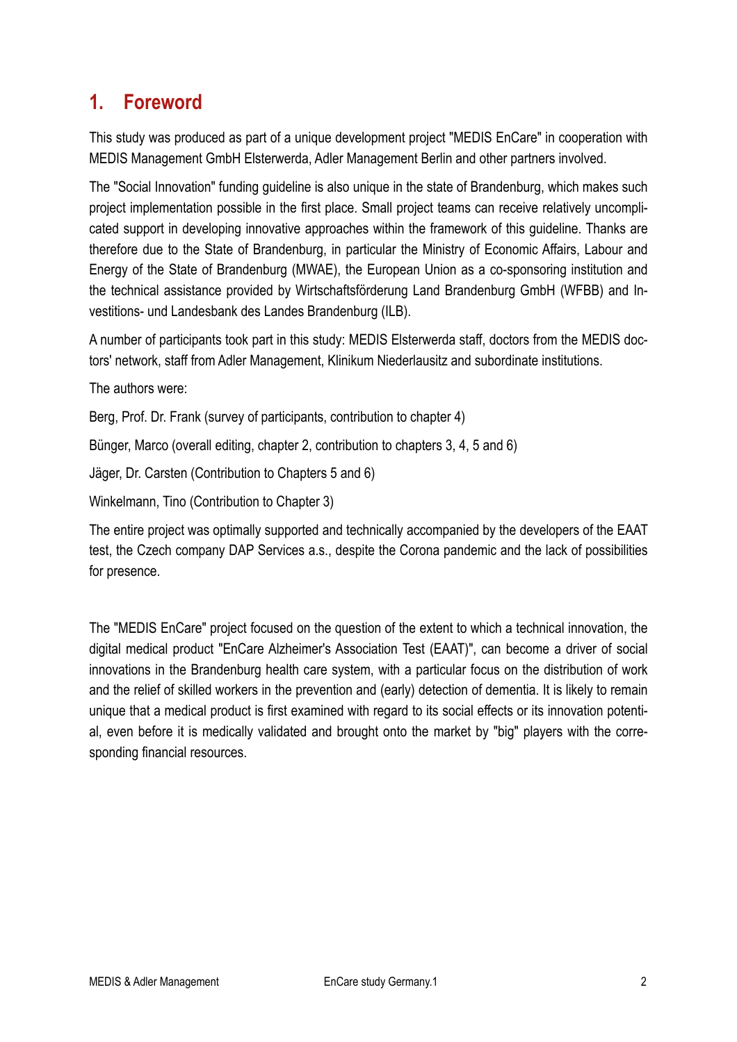# <span id="page-1-0"></span>**1. Foreword**

This study was produced as part of a unique development project "MEDIS EnCare" in cooperation with MEDIS Management GmbH Elsterwerda, Adler Management Berlin and other partners involved.

The "Social Innovation" funding guideline is also unique in the state of Brandenburg, which makes such project implementation possible in the first place. Small project teams can receive relatively uncomplicated support in developing innovative approaches within the framework of this guideline. Thanks are therefore due to the State of Brandenburg, in particular the Ministry of Economic Affairs, Labour and Energy of the State of Brandenburg (MWAE), the European Union as a co-sponsoring institution and the technical assistance provided by Wirtschaftsförderung Land Brandenburg GmbH (WFBB) and Investitions- und Landesbank des Landes Brandenburg (ILB).

A number of participants took part in this study: MEDIS Elsterwerda staff, doctors from the MEDIS doctors' network, staff from Adler Management, Klinikum Niederlausitz and subordinate institutions.

The authors were:

Berg, Prof. Dr. Frank (survey of participants, contribution to chapter 4)

Bünger, Marco (overall editing, chapter 2, contribution to chapters 3, 4, 5 and 6)

Jäger, Dr. Carsten (Contribution to Chapters 5 and 6)

Winkelmann, Tino (Contribution to Chapter 3)

The entire project was optimally supported and technically accompanied by the developers of the EAAT test, the Czech company DAP Services a.s., despite the Corona pandemic and the lack of possibilities for presence.

The "MEDIS EnCare" project focused on the question of the extent to which a technical innovation, the digital medical product "EnCare Alzheimer's Association Test (EAAT)", can become a driver of social innovations in the Brandenburg health care system, with a particular focus on the distribution of work and the relief of skilled workers in the prevention and (early) detection of dementia. It is likely to remain unique that a medical product is first examined with regard to its social effects or its innovation potential, even before it is medically validated and brought onto the market by "big" players with the corresponding financial resources.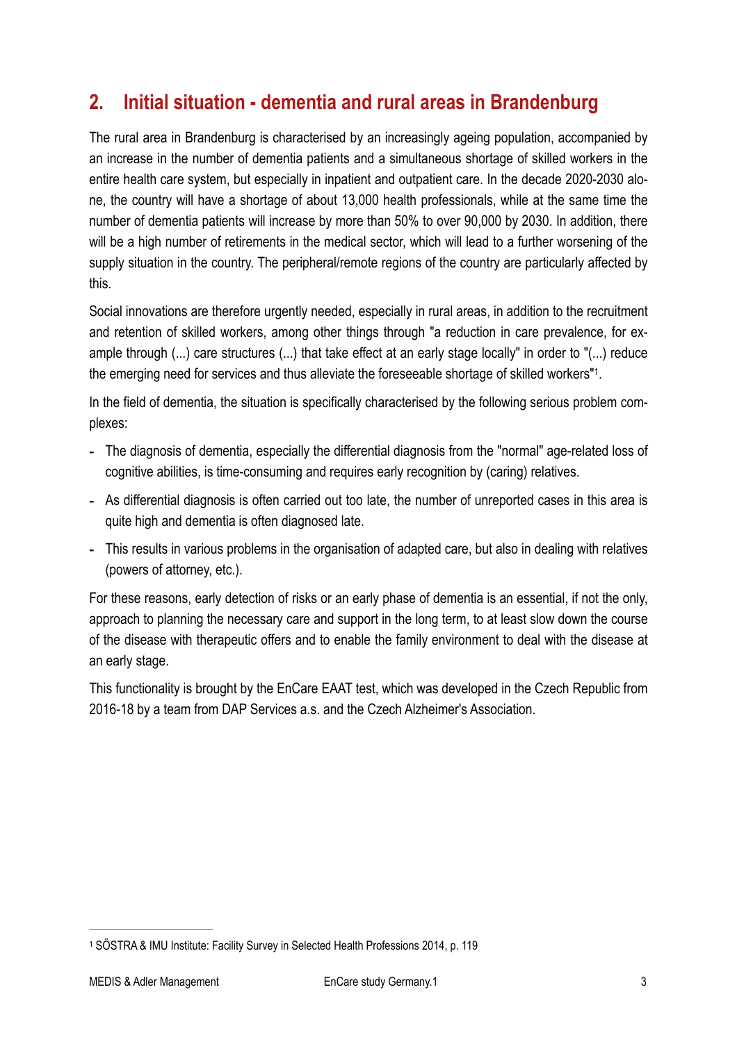# <span id="page-2-0"></span>**2. Initial situation - dementia and rural areas in Brandenburg**

The rural area in Brandenburg is characterised by an increasingly ageing population, accompanied by an increase in the number of dementia patients and a simultaneous shortage of skilled workers in the entire health care system, but especially in inpatient and outpatient care. In the decade 2020-2030 alone, the country will have a shortage of about 13,000 health professionals, while at the same time the number of dementia patients will increase by more than 50% to over 90,000 by 2030. In addition, there will be a high number of retirements in the medical sector, which will lead to a further worsening of the supply situation in the country. The peripheral/remote regions of the country are particularly affected by this.

Social innovations are therefore urgently needed, especially in rural areas, in addition to the recruitment and retention of skilled workers, among other things through "a reduction in care prevalence, for example through (...) care structures (...) that take effect at an early stage locally" in order to "(...) reduce the emerging need for services and thus alleviate the foreseeable shortage of skilled workers"<sup>[1](#page-2-1)</sup>.

<span id="page-2-2"></span>In the field of dementia, the situation is specifically characterised by the following serious problem complexes:

- The diagnosis of dementia, especially the differential diagnosis from the "normal" age-related loss of cognitive abilities, is time-consuming and requires early recognition by (caring) relatives.
- As differential diagnosis is often carried out too late, the number of unreported cases in this area is quite high and dementia is often diagnosed late.
- This results in various problems in the organisation of adapted care, but also in dealing with relatives (powers of attorney, etc.).

For these reasons, early detection of risks or an early phase of dementia is an essential, if not the only, approach to planning the necessary care and support in the long term, to at least slow down the course of the disease with therapeutic offers and to enable the family environment to deal with the disease at an early stage.

This functionality is brought by the EnCare EAAT test, which was developed in the Czech Republic from 2016-18 by a team from DAP Services a.s. and the Czech Alzheimer's Association.

<span id="page-2-1"></span>SÖSTRA & IMU Institute: Facility Survey in Selected Health Professions 2014, p. 119 [1](#page-2-2)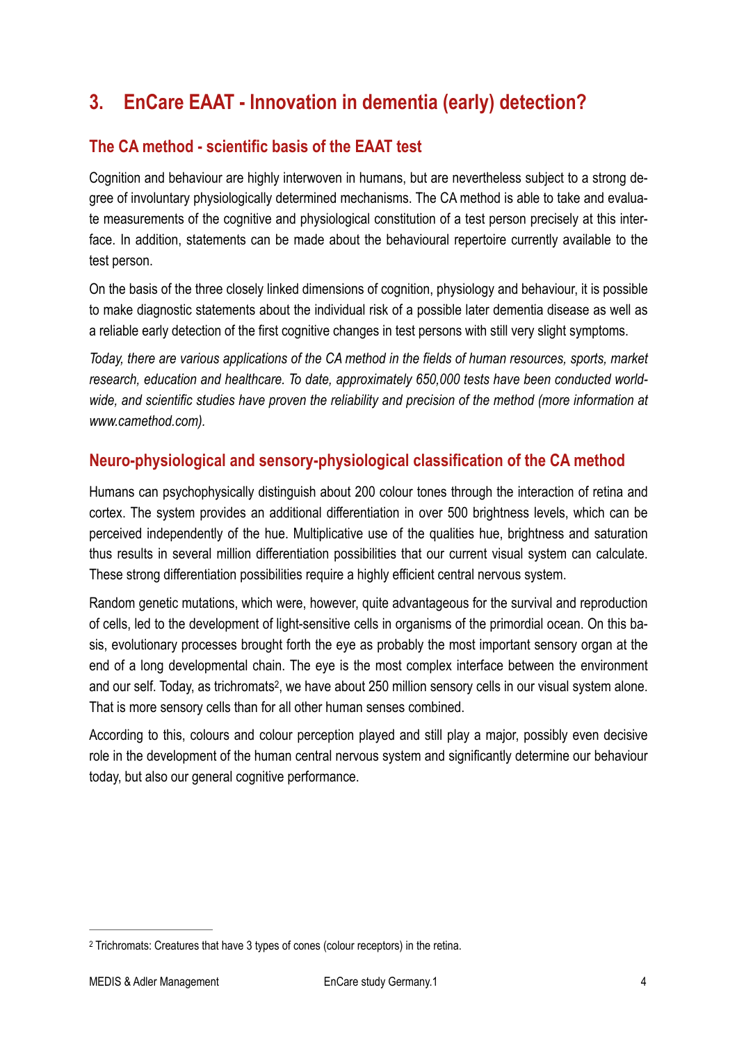# <span id="page-3-0"></span>**3. EnCare EAAT - Innovation in dementia (early) detection?**

## <span id="page-3-1"></span>**The CA method - scientific basis of the EAAT test**

Cognition and behaviour are highly interwoven in humans, but are nevertheless subject to a strong degree of involuntary physiologically determined mechanisms. The CA method is able to take and evaluate measurements of the cognitive and physiological constitution of a test person precisely at this interface. In addition, statements can be made about the behavioural repertoire currently available to the test person.

On the basis of the three closely linked dimensions of cognition, physiology and behaviour, it is possible to make diagnostic statements about the individual risk of a possible later dementia disease as well as a reliable early detection of the first cognitive changes in test persons with still very slight symptoms.

*Today, there are various applications of the CA method in the fields of human resources, sports, market research, education and healthcare. To date, approximately 650,000 tests have been conducted worldwide, and scientific studies have proven the reliability and precision of the method (more information at www.camethod.com).*

#### <span id="page-3-2"></span>**Neuro-physiological and sensory-physiological classification of the CA method**

Humans can psychophysically distinguish about 200 colour tones through the interaction of retina and cortex. The system provides an additional differentiation in over 500 brightness levels, which can be perceived independently of the hue. Multiplicative use of the qualities hue, brightness and saturation thus results in several million differentiation possibilities that our current visual system can calculate. These strong differentiation possibilities require a highly efficient central nervous system.

Random genetic mutations, which were, however, quite advantageous for the survival and reproduction of cells, led to the development of light-sensitive cells in organisms of the primordial ocean. On this basis, evolutionary processes brought forth the eye as probably the most important sensory organ at the end of a long developmental chain. The eye is the most complex interface between the environment and our self. Today, as trichromats<sup>[2](#page-3-3)</sup>, we have about 250 million sensory cells in our visual system alone. That is more sensory cells than for all other human senses combined.

<span id="page-3-4"></span>According to this, colours and colour perception played and still play a major, possibly even decisive role in the development of the human central nervous system and significantly determine our behaviour today, but also our general cognitive performance.

<span id="page-3-3"></span><sup>&</sup>lt;sup>[2](#page-3-4)</sup> Trichromats: Creatures that have 3 types of cones (colour receptors) in the retina.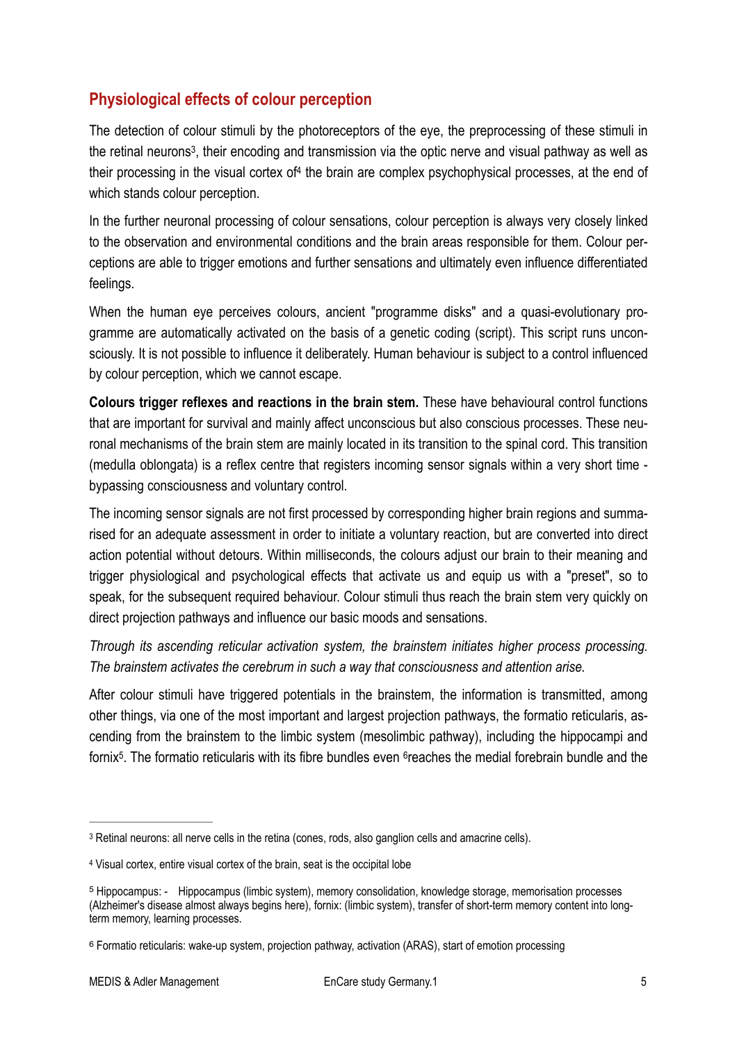## <span id="page-4-0"></span>**Physiological effects of colour perception**

<span id="page-4-6"></span><span id="page-4-5"></span>The detection of colour stimuli by the photoreceptors of the eye, the preprocessing of these stimuli in the retinal neurons<sup>3</sup>[,](#page-4-1) their encoding and transmission via the optic nerve and visual pathway as well as their processing in the visual cortex of  $4$  the brain are complex psychophysical processes, at the end of which stands colour perception.

In the further neuronal processing of colour sensations, colour perception is always very closely linked to the observation and environmental conditions and the brain areas responsible for them. Colour perceptions are able to trigger emotions and further sensations and ultimately even influence differentiated feelings.

When the human eye perceives colours, ancient "programme disks" and a quasi-evolutionary programme are automatically activated on the basis of a genetic coding (script). This script runs unconsciously. It is not possible to influence it deliberately. Human behaviour is subject to a control influenced by colour perception, which we cannot escape.

**Colours trigger reflexes and reactions in the brain stem.** These have behavioural control functions that are important for survival and mainly affect unconscious but also conscious processes. These neuronal mechanisms of the brain stem are mainly located in its transition to the spinal cord. This transition (medulla oblongata) is a reflex centre that registers incoming sensor signals within a very short time bypassing consciousness and voluntary control.

The incoming sensor signals are not first processed by corresponding higher brain regions and summarised for an adequate assessment in order to initiate a voluntary reaction, but are converted into direct action potential without detours. Within milliseconds, the colours adjust our brain to their meaning and trigger physiological and psychological effects that activate us and equip us with a "preset", so to speak, for the subsequent required behaviour. Colour stimuli thus reach the brain stem very quickly on direct projection pathways and influence our basic moods and sensations.

*Through its ascending reticular activation system, the brainstem initiates higher process processing. The brainstem activates the cerebrum in such a way that consciousness and attention arise.* 

<span id="page-4-8"></span><span id="page-4-7"></span>After colour stimuli have triggered potentials in the brainstem, the information is transmitted, among other things, via one of the most important and largest projection pathways, the formatio reticularis, ascending from the brainstem to the limbic system (mesolimbic pathway), including the hippocampi and fornix<sup>5</sup>[.](#page-4-3) The formatio reticularis with its fibre bundles even <sup>6</sup>reaches the medial forebrain bundle and the

<span id="page-4-1"></span>[<sup>3</sup>](#page-4-5) Retinal neurons: all nerve cells in the retina (cones, rods, also ganglion cells and amacrine cells).

<span id="page-4-2"></span>Visual cortex, entire visual cortex of the brain, seat is the occipital lobe [4](#page-4-6)

<span id="page-4-3"></span>Hippocampus: - Hippocampus (limbic system), memory consolidation, knowledge storage, memorisation processes [5](#page-4-7) (Alzheimer's disease almost always begins here), fornix: (limbic system), transfer of short-term memory content into longterm memory, learning processes.

<span id="page-4-4"></span>Formatio reticularis: wake-up system, projection pathway, activation (ARAS), start of emotion processing [6](#page-4-8)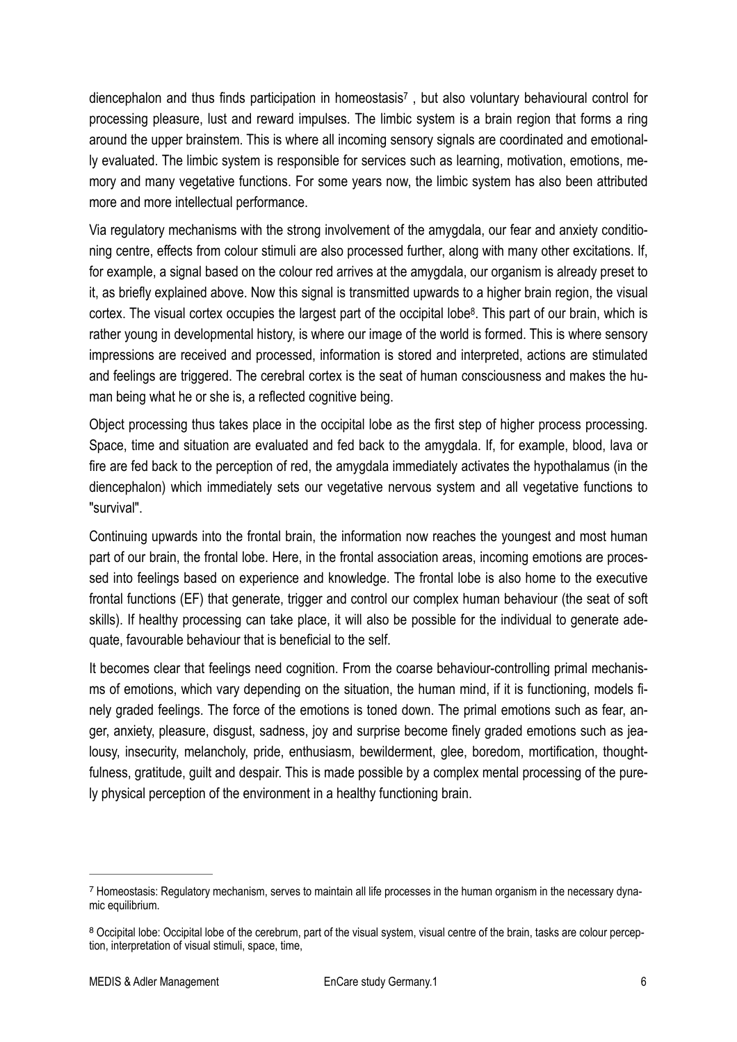<span id="page-5-2"></span>diencephalon and thus finds participation in homeostasis<sup>[7](#page-5-0)</sup>, but also voluntary behavioural control for processing pleasure, lust and reward impulses. The limbic system is a brain region that forms a ring around the upper brainstem. This is where all incoming sensory signals are coordinated and emotionally evaluated. The limbic system is responsible for services such as learning, motivation, emotions, memory and many vegetative functions. For some years now, the limbic system has also been attributed more and more intellectual performance.

<span id="page-5-3"></span>Via regulatory mechanisms with the strong involvement of the amygdala, our fear and anxiety conditioning centre, effects from colour stimuli are also processed further, along with many other excitations. If, for example, a signal based on the colour red arrives at the amygdala, our organism is already preset to it, as briefly explained above. Now this signal is transmitted upwards to a higher brain region, the visual cortex[.](#page-5-1) The visual cortex occupies the largest part of the occipital lobe<sup>[8](#page-5-1)</sup>. This part of our brain, which is rather young in developmental history, is where our image of the world is formed. This is where sensory impressions are received and processed, information is stored and interpreted, actions are stimulated and feelings are triggered. The cerebral cortex is the seat of human consciousness and makes the human being what he or she is, a reflected cognitive being.

Object processing thus takes place in the occipital lobe as the first step of higher process processing. Space, time and situation are evaluated and fed back to the amygdala. If, for example, blood, lava or fire are fed back to the perception of red, the amygdala immediately activates the hypothalamus (in the diencephalon) which immediately sets our vegetative nervous system and all vegetative functions to "survival".

Continuing upwards into the frontal brain, the information now reaches the youngest and most human part of our brain, the frontal lobe. Here, in the frontal association areas, incoming emotions are processed into feelings based on experience and knowledge. The frontal lobe is also home to the executive frontal functions (EF) that generate, trigger and control our complex human behaviour (the seat of soft skills). If healthy processing can take place, it will also be possible for the individual to generate adequate, favourable behaviour that is beneficial to the self.

It becomes clear that feelings need cognition. From the coarse behaviour-controlling primal mechanisms of emotions, which vary depending on the situation, the human mind, if it is functioning, models finely graded feelings. The force of the emotions is toned down. The primal emotions such as fear, anger, anxiety, pleasure, disgust, sadness, joy and surprise become finely graded emotions such as jealousy, insecurity, melancholy, pride, enthusiasm, bewilderment, glee, boredom, mortification, thoughtfulness, gratitude, guilt and despair. This is made possible by a complex mental processing of the purely physical perception of the environment in a healthy functioning brain.

<span id="page-5-0"></span><sup>&</sup>lt;sup>[7](#page-5-2)</sup> Homeostasis: Regulatory mechanism, serves to maintain all life processes in the human organism in the necessary dynamic equilibrium.

<span id="page-5-1"></span>[<sup>8</sup>](#page-5-3) Occipital lobe: Occipital lobe of the cerebrum, part of the visual system, visual centre of the brain, tasks are colour perception, interpretation of visual stimuli, space, time,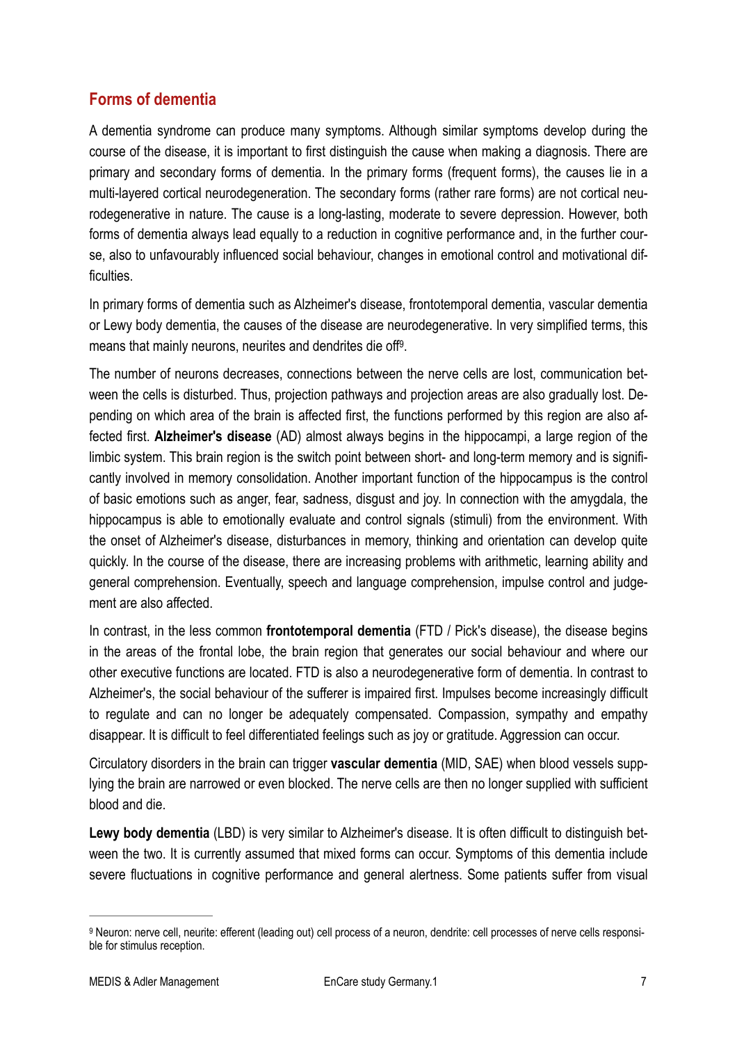#### <span id="page-6-0"></span>**Forms of dementia**

A dementia syndrome can produce many symptoms. Although similar symptoms develop during the course of the disease, it is important to first distinguish the cause when making a diagnosis. There are primary and secondary forms of dementia. In the primary forms (frequent forms), the causes lie in a multi-layered cortical neurodegeneration. The secondary forms (rather rare forms) are not cortical neurodegenerative in nature. The cause is a long-lasting, moderate to severe depression. However, both forms of dementia always lead equally to a reduction in cognitive performance and, in the further course, also to unfavourably influenced social behaviour, changes in emotional control and motivational difficulties.

In primary forms of dementia such as Alzheimer's disease, frontotemporal dementia, vascular dementia or Lewy body dementia, the causes of the disease are neurodegenerative. In very simplified terms, this means that mainly neurons, neurites and dendrites die off<sup>[9](#page-6-1)</sup>.

<span id="page-6-2"></span>The number of neurons decreases, connections between the nerve cells are lost, communication between the cells is disturbed. Thus, projection pathways and projection areas are also gradually lost. Depending on which area of the brain is affected first, the functions performed by this region are also affected first. **Alzheimer's disease** (AD) almost always begins in the hippocampi, a large region of the limbic system. This brain region is the switch point between short- and long-term memory and is significantly involved in memory consolidation. Another important function of the hippocampus is the control of basic emotions such as anger, fear, sadness, disgust and joy. In connection with the amygdala, the hippocampus is able to emotionally evaluate and control signals (stimuli) from the environment. With the onset of Alzheimer's disease, disturbances in memory, thinking and orientation can develop quite quickly. In the course of the disease, there are increasing problems with arithmetic, learning ability and general comprehension. Eventually, speech and language comprehension, impulse control and judgement are also affected.

In contrast, in the less common **frontotemporal dementia** (FTD / Pick's disease), the disease begins in the areas of the frontal lobe, the brain region that generates our social behaviour and where our other executive functions are located. FTD is also a neurodegenerative form of dementia. In contrast to Alzheimer's, the social behaviour of the sufferer is impaired first. Impulses become increasingly difficult to regulate and can no longer be adequately compensated. Compassion, sympathy and empathy disappear. It is difficult to feel differentiated feelings such as joy or gratitude. Aggression can occur.

Circulatory disorders in the brain can trigger **vascular dementia** (MID, SAE) when blood vessels supplying the brain are narrowed or even blocked. The nerve cells are then no longer supplied with sufficient blood and die.

**Lewy body dementia** (LBD) is very similar to Alzheimer's disease. It is often difficult to distinguish between the two. It is currently assumed that mixed forms can occur. Symptoms of this dementia include severe fluctuations in cognitive performance and general alertness. Some patients suffer from visual

<span id="page-6-1"></span><sup>&</sup>lt;sup>[9](#page-6-2)</sup> Neuron: nerve cell, neurite: efferent (leading out) cell process of a neuron, dendrite: cell processes of nerve cells responsible for stimulus reception.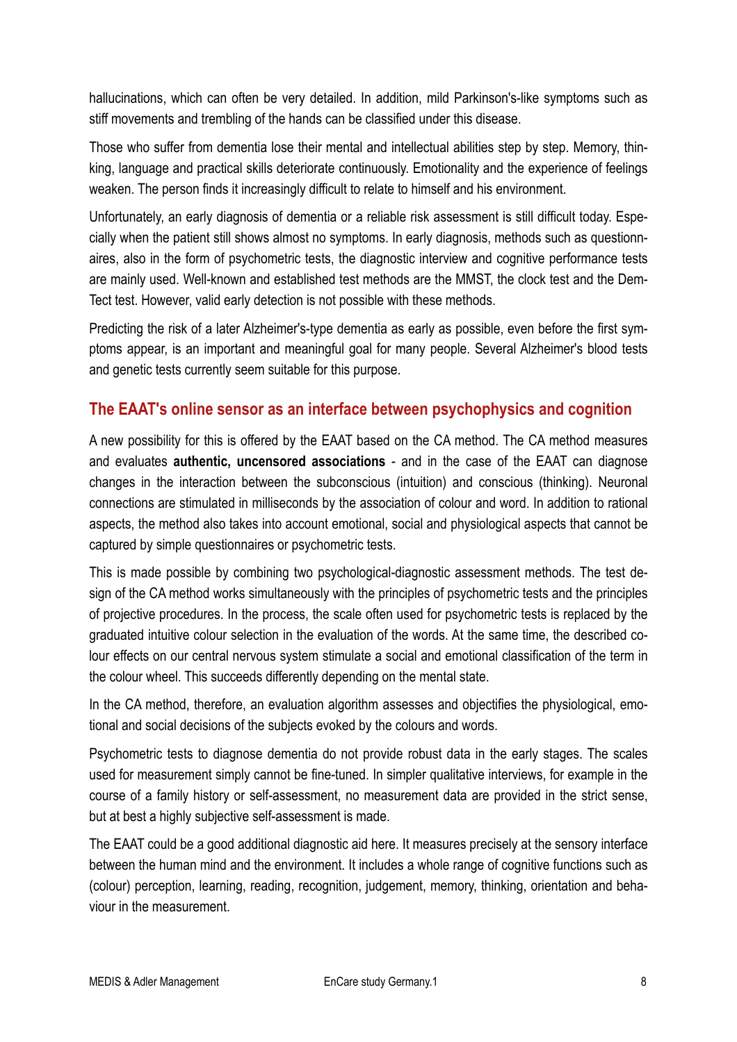hallucinations, which can often be very detailed. In addition, mild Parkinson's-like symptoms such as stiff movements and trembling of the hands can be classified under this disease.

Those who suffer from dementia lose their mental and intellectual abilities step by step. Memory, thinking, language and practical skills deteriorate continuously. Emotionality and the experience of feelings weaken. The person finds it increasingly difficult to relate to himself and his environment.

Unfortunately, an early diagnosis of dementia or a reliable risk assessment is still difficult today. Especially when the patient still shows almost no symptoms. In early diagnosis, methods such as questionnaires, also in the form of psychometric tests, the diagnostic interview and cognitive performance tests are mainly used. Well-known and established test methods are the MMST, the clock test and the Dem-Tect test. However, valid early detection is not possible with these methods.

Predicting the risk of a later Alzheimer's-type dementia as early as possible, even before the first symptoms appear, is an important and meaningful goal for many people. Several Alzheimer's blood tests and genetic tests currently seem suitable for this purpose.

#### <span id="page-7-0"></span>**The EAAT's online sensor as an interface between psychophysics and cognition**

A new possibility for this is offered by the EAAT based on the CA method. The CA method measures and evaluates **authentic, uncensored associations** - and in the case of the EAAT can diagnose changes in the interaction between the subconscious (intuition) and conscious (thinking). Neuronal connections are stimulated in milliseconds by the association of colour and word. In addition to rational aspects, the method also takes into account emotional, social and physiological aspects that cannot be captured by simple questionnaires or psychometric tests.

This is made possible by combining two psychological-diagnostic assessment methods. The test design of the CA method works simultaneously with the principles of psychometric tests and the principles of projective procedures. In the process, the scale often used for psychometric tests is replaced by the graduated intuitive colour selection in the evaluation of the words. At the same time, the described colour effects on our central nervous system stimulate a social and emotional classification of the term in the colour wheel. This succeeds differently depending on the mental state.

In the CA method, therefore, an evaluation algorithm assesses and objectifies the physiological, emotional and social decisions of the subjects evoked by the colours and words.

Psychometric tests to diagnose dementia do not provide robust data in the early stages. The scales used for measurement simply cannot be fine-tuned. In simpler qualitative interviews, for example in the course of a family history or self-assessment, no measurement data are provided in the strict sense, but at best a highly subjective self-assessment is made.

The EAAT could be a good additional diagnostic aid here. It measures precisely at the sensory interface between the human mind and the environment. It includes a whole range of cognitive functions such as (colour) perception, learning, reading, recognition, judgement, memory, thinking, orientation and behaviour in the measurement.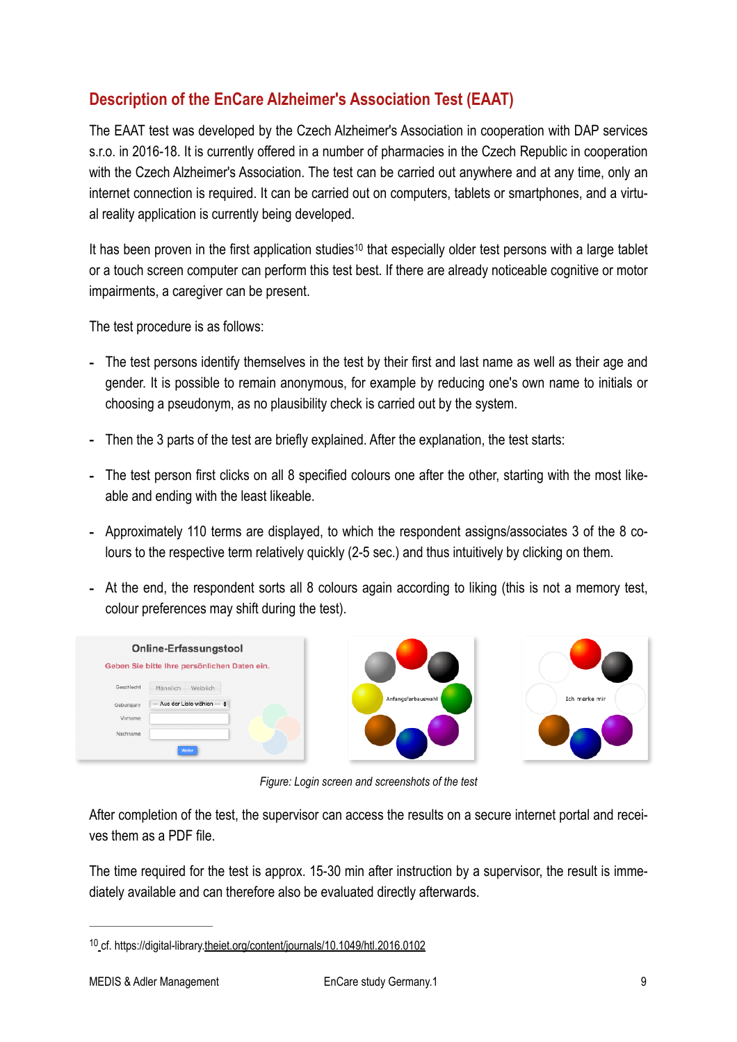## <span id="page-8-0"></span>**Description of the EnCare Alzheimer's Association Test (EAAT)**

The EAAT test was developed by the Czech Alzheimer's Association in cooperation with DAP services s.r.o. in 2016-18. It is currently offered in a number of pharmacies in the Czech Republic in cooperation with the Czech Alzheimer's Association. The test can be carried out anywhere and at any time, only an internet connection is required. It can be carried out on computers, tablets or smartphones, and a virtual reality application is currently being developed.

<span id="page-8-2"></span>It ha[s](#page-8-1) been proven in the first application studies<sup>[10](#page-8-1)</sup> that especially older test persons with a large tablet or a touch screen computer can perform this test best. If there are already noticeable cognitive or motor impairments, a caregiver can be present.

The test procedure is as follows:

- The test persons identify themselves in the test by their first and last name as well as their age and gender. It is possible to remain anonymous, for example by reducing one's own name to initials or choosing a pseudonym, as no plausibility check is carried out by the system.
- Then the 3 parts of the test are briefly explained. After the explanation, the test starts:
- The test person first clicks on all 8 specified colours one after the other, starting with the most likeable and ending with the least likeable.
- Approximately 110 terms are displayed, to which the respondent assigns/associates 3 of the 8 colours to the respective term relatively quickly (2-5 sec.) and thus intuitively by clicking on them.
- At the end, the respondent sorts all 8 colours again according to liking (this is not a memory test, colour preferences may shift during the test).

| Online-Erfassungstool<br>Geben Sie bitte Ihre persönlichen Daten ein.                    |                    |               |
|------------------------------------------------------------------------------------------|--------------------|---------------|
| Geschlecht<br>Männlich<br>Weiblich<br>--- Aus der Liste wählen --- $\div$<br>Geburtsjahr | Anfangsfarbauswahl | Ich merke mir |
| Vorname                                                                                  |                    |               |
| Nachname                                                                                 |                    |               |
| Weiter                                                                                   |                    |               |

*Figure: Login screen and screenshots of the test*

After completion of the test, the supervisor can access the results on a secure internet portal and receives them as a PDF file.

The time required for the test is approx. 15-30 min after instruction by a supervisor, the result is immediately available and can therefore also be evaluated directly afterwards.

<span id="page-8-1"></span><sup>&</sup>lt;sup>10</sup> [c](https://digital-library.theiet.org/content/journals/10.1049/htl.2016.0102)f. https://digital-library[.theiet.org/content/journals/10.1049/htl.2016.0102](https://digital-library.theiet.org/content/journals/10.1049/htl.2016.0102)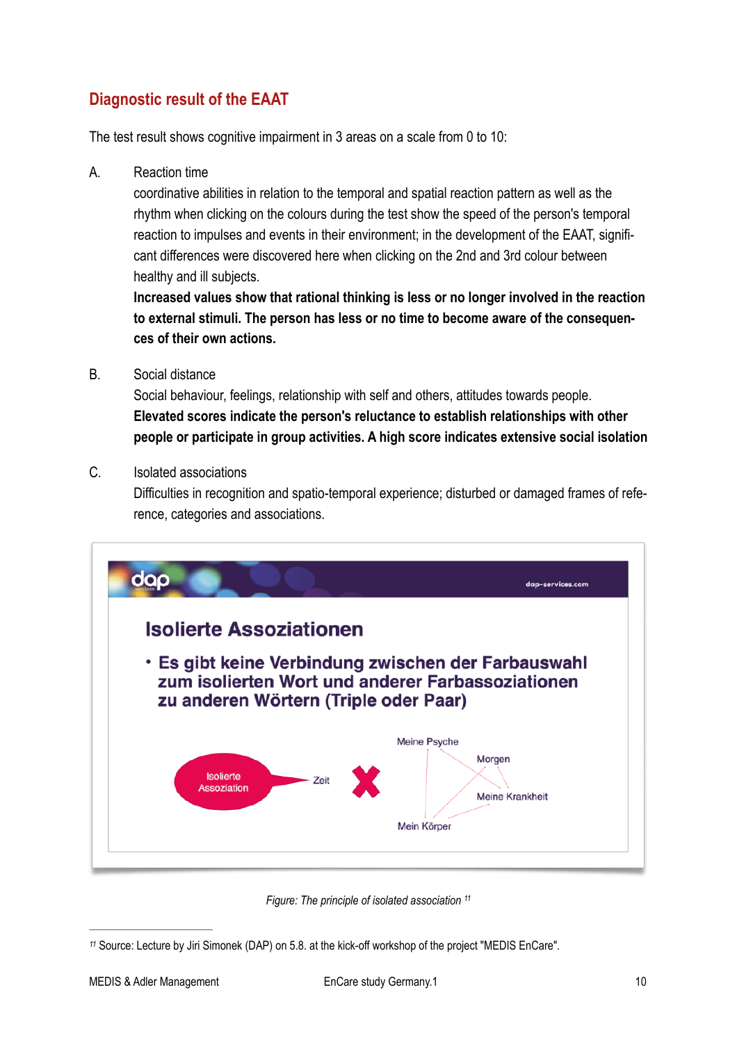## <span id="page-9-0"></span>**Diagnostic result of the EAAT**

The test result shows cognitive impairment in 3 areas on a scale from 0 to 10:

A. Reaction time

coordinative abilities in relation to the temporal and spatial reaction pattern as well as the rhythm when clicking on the colours during the test show the speed of the person's temporal reaction to impulses and events in their environment; in the development of the EAAT, significant differences were discovered here when clicking on the 2nd and 3rd colour between healthy and ill subjects.

**Increased values show that rational thinking is less or no longer involved in the reaction to external stimuli. The person has less or no time to become aware of the consequences of their own actions.** 

#### B. Social distance

Social behaviour, feelings, relationship with self and others, attitudes towards people. **Elevated scores indicate the person's reluctance to establish relationships with other people or participate in group activities. A high score indicates extensive social isolation**

C. Isolated associations

Difficulties in recognition and spatio-temporal experience; disturbed or damaged frames of reference, categories and associations.



<span id="page-9-2"></span>*Figure: The principle of isolated association [11](#page-9-1)*

<span id="page-9-1"></span>Source: Lecture by Jiri Simonek (DAP) on 5.8. at the kick-off workshop of the project "MEDIS EnCare". *[11](#page-9-2)*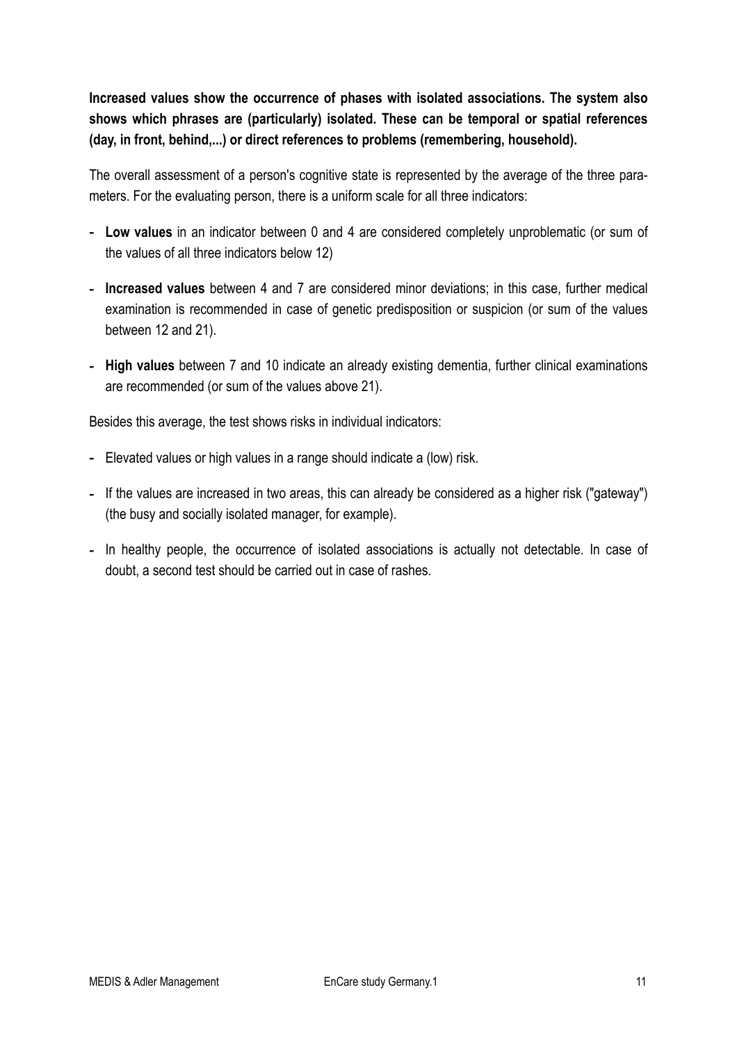**Increased values show the occurrence of phases with isolated associations. The system also shows which phrases are (particularly) isolated. These can be temporal or spatial references (day, in front, behind,...) or direct references to problems (remembering, household).**

The overall assessment of a person's cognitive state is represented by the average of the three parameters. For the evaluating person, there is a uniform scale for all three indicators:

- **Low values** in an indicator between 0 and 4 are considered completely unproblematic (or sum of the values of all three indicators below 12)
- **Increased values** between 4 and 7 are considered minor deviations; in this case, further medical examination is recommended in case of genetic predisposition or suspicion (or sum of the values between 12 and 21).
- **High values** between 7 and 10 indicate an already existing dementia, further clinical examinations are recommended (or sum of the values above 21).

Besides this average, the test shows risks in individual indicators:

- Elevated values or high values in a range should indicate a (low) risk.
- If the values are increased in two areas, this can already be considered as a higher risk ("gateway") (the busy and socially isolated manager, for example).
- In healthy people, the occurrence of isolated associations is actually not detectable. In case of doubt, a second test should be carried out in case of rashes.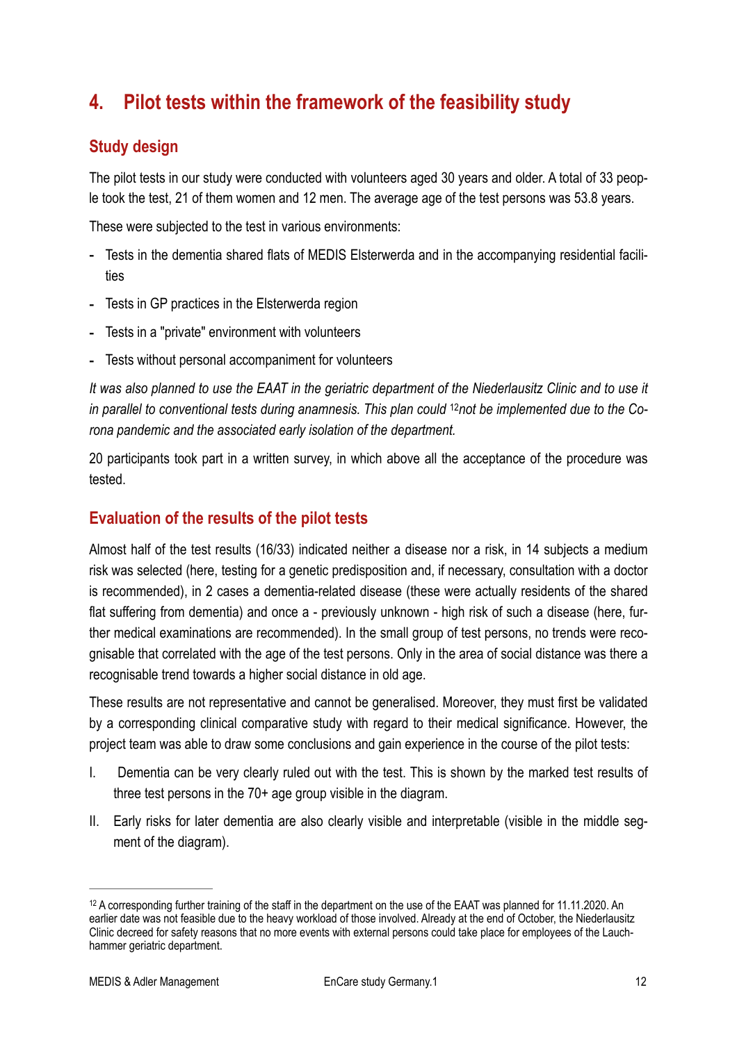# <span id="page-11-0"></span>**4. Pilot tests within the framework of the feasibility study**

#### <span id="page-11-1"></span>**Study design**

The pilot tests in our study were conducted with volunteers aged 30 years and older. A total of 33 people took the test, 21 of them women and 12 men. The average age of the test persons was 53.8 years.

These were subjected to the test in various environments:

- Tests in the dementia shared flats of MEDIS Elsterwerda and in the accompanying residential facilities
- Tests in GP practices in the Elsterwerda region
- Tests in a "private" environment with volunteers
- Tests without personal accompaniment for volunteers

<span id="page-11-4"></span>*It was also planned to use the EAAT in the geriatric department of the Niederlausitz Clinic and to use it in parallel to conventional tests during anamnesis. This plan could <sup>12</sup>not be implemented due to the Corona pandemic and the associated early isolation of the department.*

20 participants took part in a written survey, in which above all the acceptance of the procedure was tested.

#### <span id="page-11-2"></span>**Evaluation of the results of the pilot tests**

Almost half of the test results (16/33) indicated neither a disease nor a risk, in 14 subjects a medium risk was selected (here, testing for a genetic predisposition and, if necessary, consultation with a doctor is recommended), in 2 cases a dementia-related disease (these were actually residents of the shared flat suffering from dementia) and once a - previously unknown - high risk of such a disease (here, further medical examinations are recommended). In the small group of test persons, no trends were recognisable that correlated with the age of the test persons. Only in the area of social distance was there a recognisable trend towards a higher social distance in old age.

These results are not representative and cannot be generalised. Moreover, they must first be validated by a corresponding clinical comparative study with regard to their medical significance. However, the project team was able to draw some conclusions and gain experience in the course of the pilot tests:

- I. Dementia can be very clearly ruled out with the test. This is shown by the marked test results of three test persons in the 70+ age group visible in the diagram.
- II. Early risks for later dementia are also clearly visible and interpretable (visible in the middle segment of the diagram).

<span id="page-11-3"></span><sup>&</sup>lt;sup>[12](#page-11-4)</sup> A corresponding further training of the staff in the department on the use of the EAAT was planned for 11.11.2020. An earlier date was not feasible due to the heavy workload of those involved. Already at the end of October, the Niederlausitz Clinic decreed for safety reasons that no more events with external persons could take place for employees of the Lauchhammer geriatric department.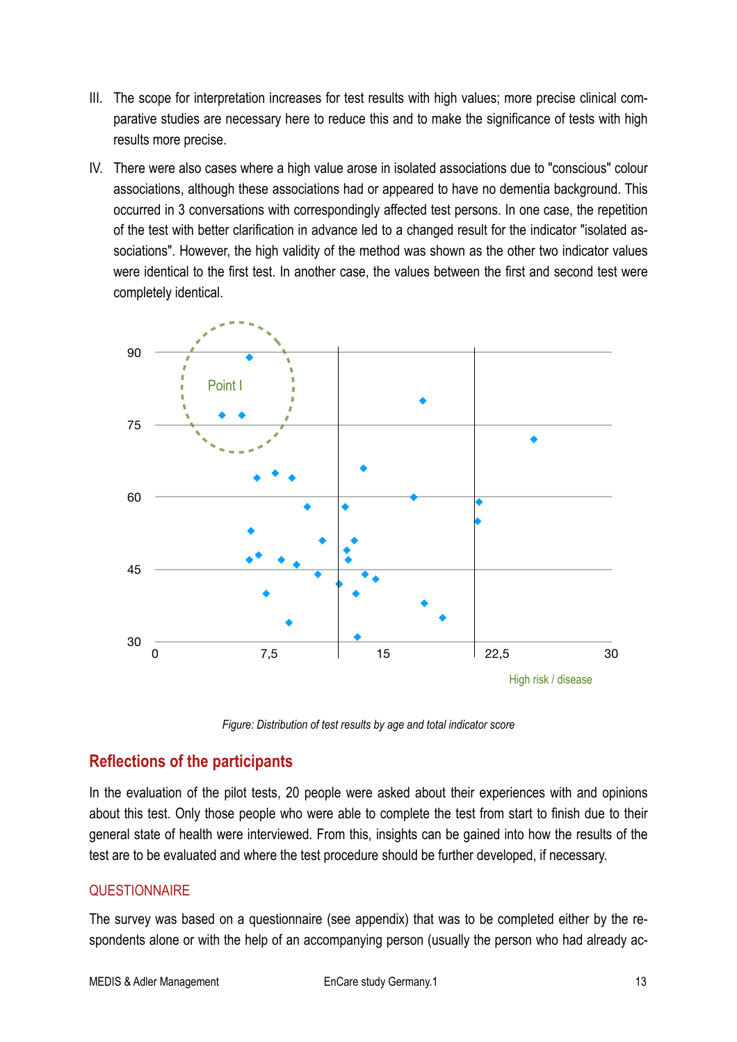- III. The scope for interpretation increases for test results with high values; more precise clinical comparative studies are necessary here to reduce this and to make the significance of tests with high results more precise.
- IV. There were also cases where a high value arose in isolated associations due to "conscious" colour associations, although these associations had or appeared to have no dementia background. This occurred in 3 conversations with correspondingly affected test persons. In one case, the repetition of the test with better clarification in advance led to a changed result for the indicator "isolated associations". However, the high validity of the method was shown as the other two indicator values were identical to the first test. In another case, the values between the first and second test were completely identical.



*Figure: Distribution of test results by age and total indicator score*

#### <span id="page-12-0"></span>**Reflections of the participants**

In the evaluation of the pilot tests, 20 people were asked about their experiences with and opinions about this test. Only those people who were able to complete the test from start to finish due to their general state of health were interviewed. From this, insights can be gained into how the results of the test are to be evaluated and where the test procedure should be further developed, if necessary.

#### **QUESTIONNAIRE**

The survey was based on a questionnaire (see appendix) that was to be completed either by the respondents alone or with the help of an accompanying person (usually the person who had already ac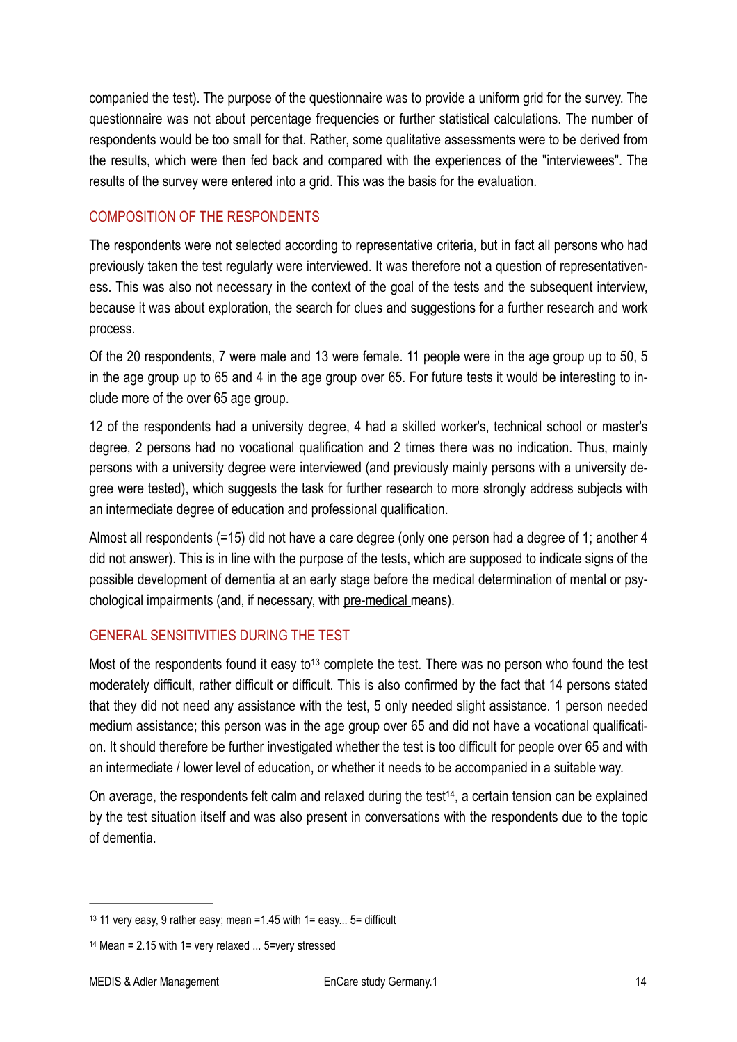companied the test). The purpose of the questionnaire was to provide a uniform grid for the survey. The questionnaire was not about percentage frequencies or further statistical calculations. The number of respondents would be too small for that. Rather, some qualitative assessments were to be derived from the results, which were then fed back and compared with the experiences of the "interviewees". The results of the survey were entered into a grid. This was the basis for the evaluation.

#### COMPOSITION OF THE RESPONDENTS

The respondents were not selected according to representative criteria, but in fact all persons who had previously taken the test regularly were interviewed. It was therefore not a question of representativeness. This was also not necessary in the context of the goal of the tests and the subsequent interview, because it was about exploration, the search for clues and suggestions for a further research and work process.

Of the 20 respondents, 7 were male and 13 were female. 11 people were in the age group up to 50, 5 in the age group up to 65 and 4 in the age group over 65. For future tests it would be interesting to include more of the over 65 age group.

12 of the respondents had a university degree, 4 had a skilled worker's, technical school or master's degree, 2 persons had no vocational qualification and 2 times there was no indication. Thus, mainly persons with a university degree were interviewed (and previously mainly persons with a university degree were tested), which suggests the task for further research to more strongly address subjects with an intermediate degree of education and professional qualification.

Almost all respondents (=15) did not have a care degree (only one person had a degree of 1; another 4 did not answer). This is in line with the purpose of the tests, which are supposed to indicate signs of the possible development of dementia at an early stage before the medical determination of mental or psychological impairments (and, if necessary, with pre-medical means).

#### GENERAL SENSITIVITIES DURING THE TEST

<span id="page-13-2"></span>Most of the respondents found it easy to<sup>[13](#page-13-0)</sup> complete the test. There was no person who found the test moderately difficult, rather difficult or difficult. This is also confirmed by the fact that 14 persons stated that they did not need any assistance with the test, 5 only needed slight assistance. 1 person needed medium assistance; this person was in the age group over 65 and did not have a vocational qualification. It should therefore be further investigated whether the test is too difficult for people over 65 and with an intermediate / lower level of education, or whether it needs to be accompanied in a suitable way.

<span id="page-13-3"></span>On average, the respondents felt calm and relaxed during the test<sup>[14](#page-13-1)</sup>, a certain tension can be explained by the test situation itself and was also present in conversations with the respondents due to the topic of dementia.

<span id="page-13-0"></span>[<sup>13</sup>](#page-13-2) 11 very easy, 9 rather easy; mean =1.45 with  $1=$  easy... 5= difficult

<span id="page-13-1"></span> $14$  Mean = 2.15 with 1= very relaxed  $\dots$  5=very stressed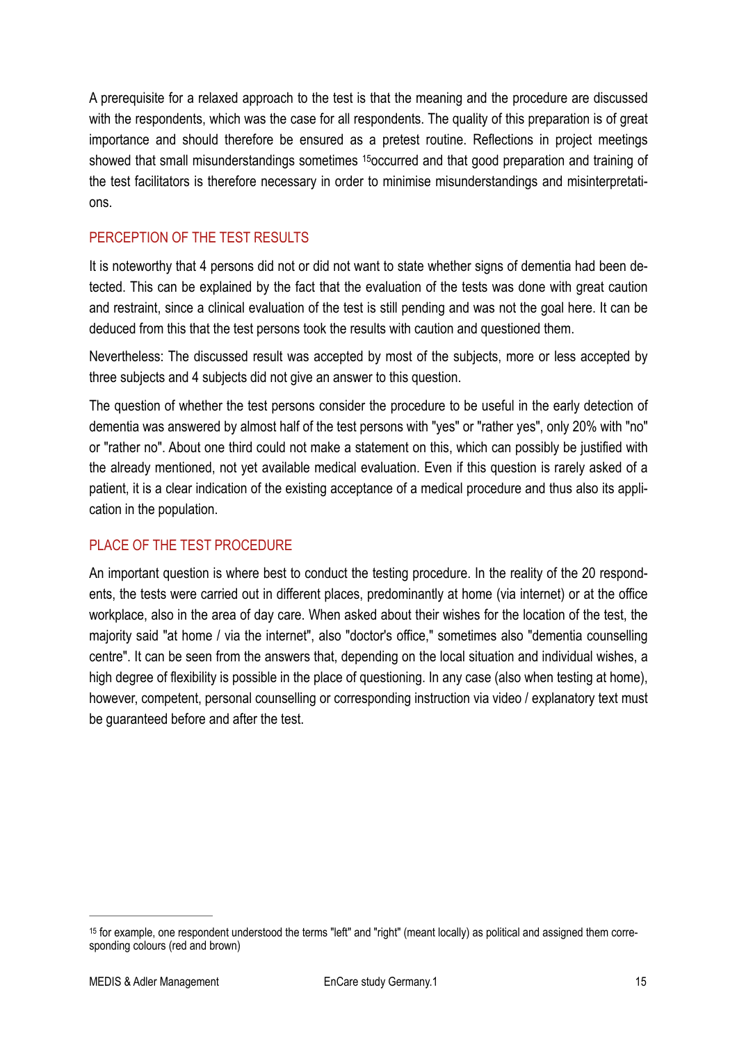<span id="page-14-1"></span>A prerequisite for a relaxed approach to the test is that the meaning and the procedure are discussed with the respondents, which was the case for all respondents. The quality of this preparation is of great importance and should therefore be ensured as a pretest routine. Reflections in project meetings sh[o](#page-14-0)wed that small misunderstandings sometimes <sup>[15](#page-14-0)</sup>occurred and that good preparation and training of the test facilitators is therefore necessary in order to minimise misunderstandings and misinterpretations.

#### PERCEPTION OF THE TEST RESULTS

It is noteworthy that 4 persons did not or did not want to state whether signs of dementia had been detected. This can be explained by the fact that the evaluation of the tests was done with great caution and restraint, since a clinical evaluation of the test is still pending and was not the goal here. It can be deduced from this that the test persons took the results with caution and questioned them.

Nevertheless: The discussed result was accepted by most of the subjects, more or less accepted by three subjects and 4 subjects did not give an answer to this question.

The question of whether the test persons consider the procedure to be useful in the early detection of dementia was answered by almost half of the test persons with "yes" or "rather yes", only 20% with "no" or "rather no". About one third could not make a statement on this, which can possibly be justified with the already mentioned, not yet available medical evaluation. Even if this question is rarely asked of a patient, it is a clear indication of the existing acceptance of a medical procedure and thus also its application in the population.

#### PLACE OF THE TEST PROCEDURE

An important question is where best to conduct the testing procedure. In the reality of the 20 respondents, the tests were carried out in different places, predominantly at home (via internet) or at the office workplace, also in the area of day care. When asked about their wishes for the location of the test, the majority said "at home / via the internet", also "doctor's office," sometimes also "dementia counselling centre". It can be seen from the answers that, depending on the local situation and individual wishes, a high degree of flexibility is possible in the place of questioning. In any case (also when testing at home), however, competent, personal counselling or corresponding instruction via video / explanatory text must be guaranteed before and after the test.

<span id="page-14-0"></span><sup>&</sup>lt;sup>[15](#page-14-1)</sup> for example, one respondent understood the terms "left" and "right" (meant locally) as political and assigned them corresponding colours (red and brown)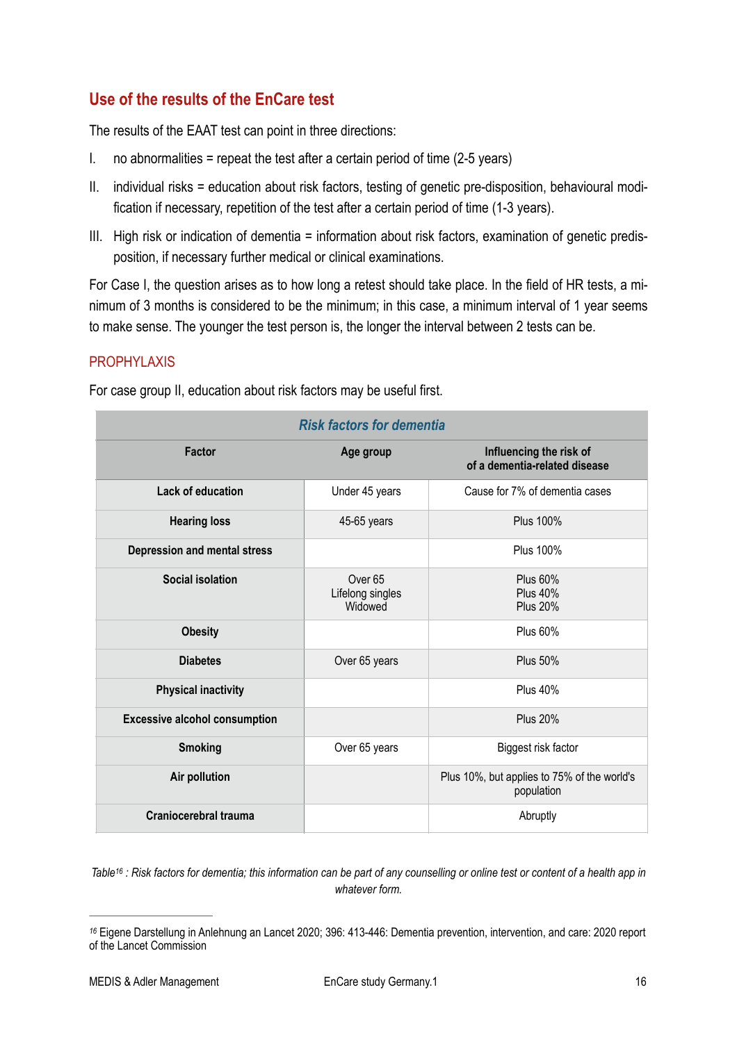## <span id="page-15-0"></span>**Use of the results of the EnCare test**

The results of the EAAT test can point in three directions:

- I. no abnormalities = repeat the test after a certain period of time  $(2-5 \text{ years})$
- II. individual risks = education about risk factors, testing of genetic pre-disposition, behavioural modification if necessary, repetition of the test after a certain period of time (1-3 years).
- III. High risk or indication of dementia = information about risk factors, examination of genetic predisposition, if necessary further medical or clinical examinations.

For Case I, the question arises as to how long a retest should take place. In the field of HR tests, a minimum of 3 months is considered to be the minimum; in this case, a minimum interval of 1 year seems to make sense. The younger the test person is, the longer the interval between 2 tests can be.

#### PROPHYLAXIS

For case group II, education about risk factors may be useful first.

| <b>Risk factors for dementia</b>     |                                                   |                                                           |  |  |  |  |
|--------------------------------------|---------------------------------------------------|-----------------------------------------------------------|--|--|--|--|
| <b>Factor</b>                        | Age group                                         | Influencing the risk of<br>of a dementia-related disease  |  |  |  |  |
| <b>Lack of education</b>             | Under 45 years                                    | Cause for 7% of dementia cases                            |  |  |  |  |
| <b>Hearing loss</b>                  | 45-65 years                                       | <b>Plus 100%</b>                                          |  |  |  |  |
| Depression and mental stress         |                                                   | <b>Plus 100%</b>                                          |  |  |  |  |
| <b>Social isolation</b>              | Over <sub>65</sub><br>Lifelong singles<br>Widowed | <b>Plus 60%</b><br><b>Plus 40%</b><br><b>Plus 20%</b>     |  |  |  |  |
| <b>Obesity</b>                       |                                                   | <b>Plus 60%</b>                                           |  |  |  |  |
| <b>Diabetes</b>                      | Over 65 years                                     | <b>Plus 50%</b>                                           |  |  |  |  |
| <b>Physical inactivity</b>           |                                                   | <b>Plus 40%</b>                                           |  |  |  |  |
| <b>Excessive alcohol consumption</b> |                                                   | <b>Plus 20%</b>                                           |  |  |  |  |
| <b>Smoking</b>                       | Over 65 years                                     | Biggest risk factor                                       |  |  |  |  |
| Air pollution                        |                                                   | Plus 10%, but applies to 75% of the world's<br>population |  |  |  |  |
| Craniocerebral trauma                |                                                   | Abruptly                                                  |  |  |  |  |

<span id="page-15-2"></span>*Tabl[e](#page-15-1) : Risk factors for dementia; this information can be part of any counselling or online test or content of a health app in [16](#page-15-1) whatever form.*

<span id="page-15-1"></span>Eigene Darstellung in Anlehnung an Lancet 2020; 396: 413-446: Dementia prevention, intervention, and care: 2020 report *[16](#page-15-2)* of the Lancet Commission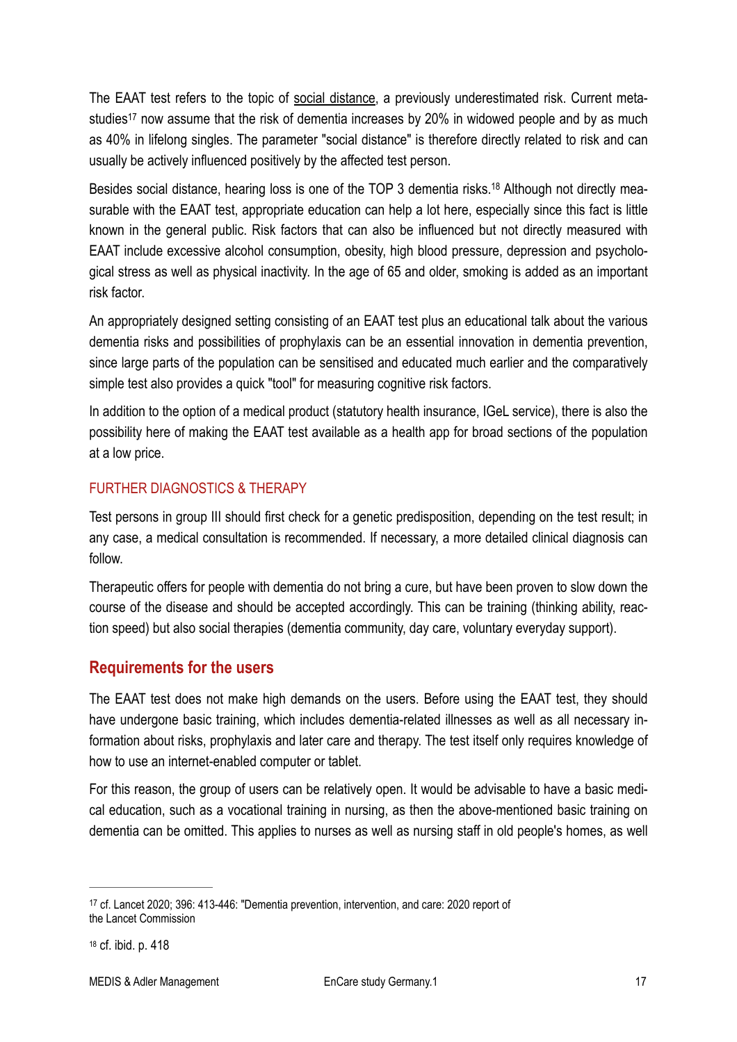<span id="page-16-3"></span>The EAAT test refers to the topic of social distance, a previously underestimated risk. Current meta[s](#page-16-1)tudies<sup>[17](#page-16-1)</sup> now assume that the risk of dementia increases by 20% in widowed people and by as much as 40% in lifelong singles. The parameter "social distance" is therefore directly related to risk and can usually be actively influenced positively by the affected test person.

<span id="page-16-4"></span>Besidessocial distance, hearing loss is one of the TOP 3 dementia risks.<sup>18</sup> Although not directly measurable with the EAAT test, appropriate education can help a lot here, especially since this fact is little known in the general public. Risk factors that can also be influenced but not directly measured with EAAT include excessive alcohol consumption, obesity, high blood pressure, depression and psychological stress as well as physical inactivity. In the age of 65 and older, smoking is added as an important risk factor.

An appropriately designed setting consisting of an EAAT test plus an educational talk about the various dementia risks and possibilities of prophylaxis can be an essential innovation in dementia prevention, since large parts of the population can be sensitised and educated much earlier and the comparatively simple test also provides a quick "tool" for measuring cognitive risk factors.

In addition to the option of a medical product (statutory health insurance, IGeL service), there is also the possibility here of making the EAAT test available as a health app for broad sections of the population at a low price.

#### FURTHER DIAGNOSTICS & THERAPY

Test persons in group III should first check for a genetic predisposition, depending on the test result; in any case, a medical consultation is recommended. If necessary, a more detailed clinical diagnosis can follow.

Therapeutic offers for people with dementia do not bring a cure, but have been proven to slow down the course of the disease and should be accepted accordingly. This can be training (thinking ability, reaction speed) but also social therapies (dementia community, day care, voluntary everyday support).

#### <span id="page-16-0"></span>**Requirements for the users**

The EAAT test does not make high demands on the users. Before using the EAAT test, they should have undergone basic training, which includes dementia-related illnesses as well as all necessary information about risks, prophylaxis and later care and therapy. The test itself only requires knowledge of how to use an internet-enabled computer or tablet.

For this reason, the group of users can be relatively open. It would be advisable to have a basic medical education, such as a vocational training in nursing, as then the above-mentioned basic training on dementia can be omitted. This applies to nurses as well as nursing staff in old people's homes, as well

<span id="page-16-1"></span><sup>&</sup>lt;sup>[17](#page-16-3)</sup> cf. Lancet 2020; 396: 413-446: "Dementia prevention, intervention, and care: 2020 report of the Lancet Commission

<span id="page-16-2"></span>[<sup>18</sup>](#page-16-4) cf. ibid. p. 418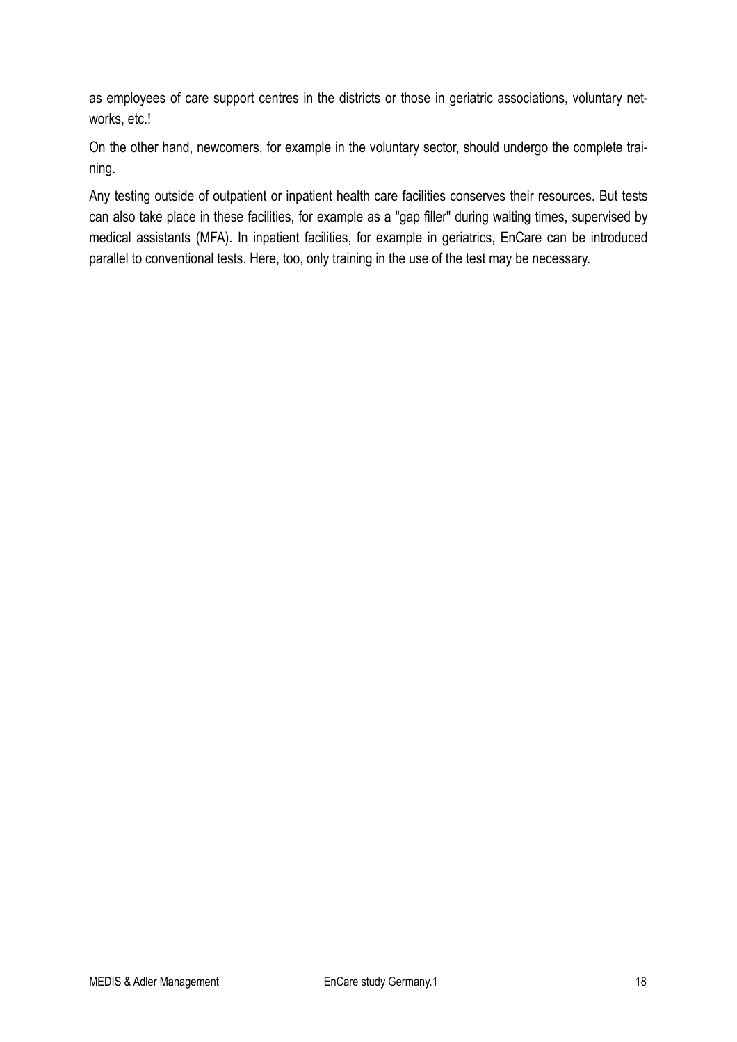as employees of care support centres in the districts or those in geriatric associations, voluntary networks, etc.!

On the other hand, newcomers, for example in the voluntary sector, should undergo the complete training.

Any testing outside of outpatient or inpatient health care facilities conserves their resources. But tests can also take place in these facilities, for example as a "gap filler" during waiting times, supervised by medical assistants (MFA). In inpatient facilities, for example in geriatrics, EnCare can be introduced parallel to conventional tests. Here, too, only training in the use of the test may be necessary.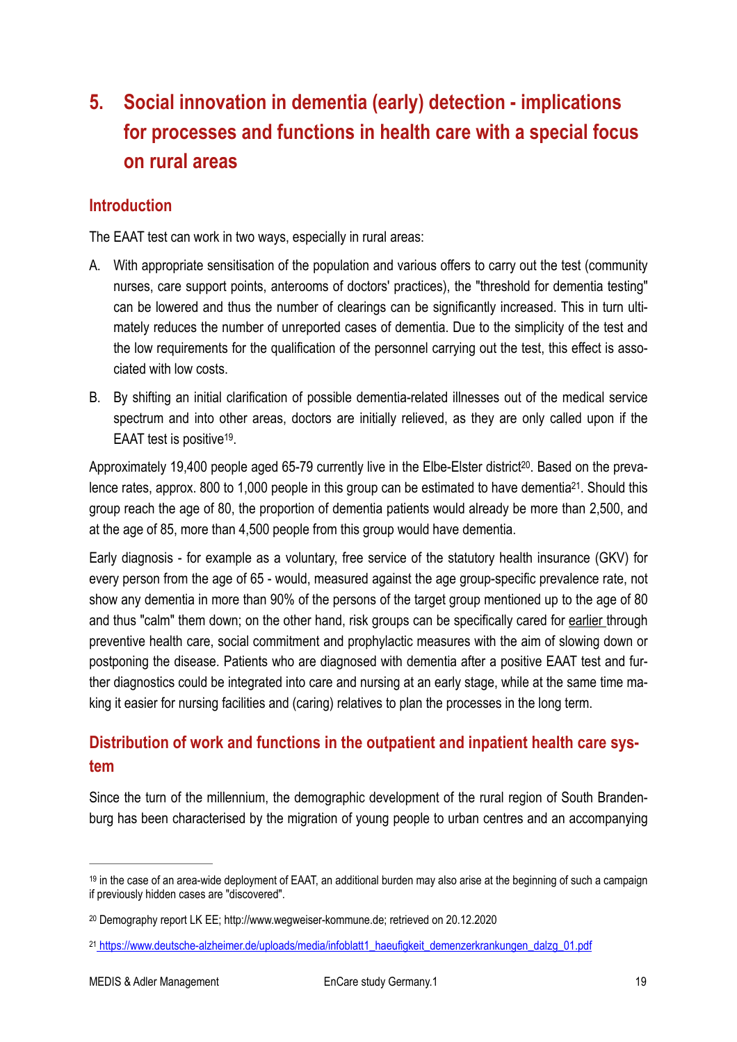# <span id="page-18-0"></span>**5. Social innovation in dementia (early) detection - implications for processes and functions in health care with a special focus on rural areas**

#### <span id="page-18-1"></span>**Introduction**

The EAAT test can work in two ways, especially in rural areas:

- A. With appropriate sensitisation of the population and various offers to carry out the test (community nurses, care support points, anterooms of doctors' practices), the "threshold for dementia testing" can be lowered and thus the number of clearings can be significantly increased. This in turn ultimately reduces the number of unreported cases of dementia. Due to the simplicity of the test and the low requirements for the qualification of the personnel carrying out the test, this effect is associated with low costs.
- B. By shifting an initial clarification of possible dementia-related illnesses out of the medical service spectrum and into other areas, doctors are initially relieved, as they are only called upon if the EAAT test is positive<sup>[19](#page-18-3)</sup>.

<span id="page-18-8"></span><span id="page-18-7"></span><span id="page-18-6"></span>Approximately 19,400 people aged 65-79 currently live in the Elbe-Elster district<sup>[20](#page-18-4)</sup>. Based on the preva-lence rates, approx[.](#page-18-5) 800 to 1,000 people in this group can be estimated to have dementia<sup>[21](#page-18-5)</sup>. Should this group reach the age of 80, the proportion of dementia patients would already be more than 2,500, and at the age of 85, more than 4,500 people from this group would have dementia.

Early diagnosis - for example as a voluntary, free service of the statutory health insurance (GKV) for every person from the age of 65 - would, measured against the age group-specific prevalence rate, not show any dementia in more than 90% of the persons of the target group mentioned up to the age of 80 and thus "calm" them down; on the other hand, risk groups can be specifically cared for earlier through preventive health care, social commitment and prophylactic measures with the aim of slowing down or postponing the disease. Patients who are diagnosed with dementia after a positive EAAT test and further diagnostics could be integrated into care and nursing at an early stage, while at the same time making it easier for nursing facilities and (caring) relatives to plan the processes in the long term.

## <span id="page-18-2"></span>**Distribution of work and functions in the outpatient and inpatient health care system**

Since the turn of the millennium, the demographic development of the rural region of South Brandenburg has been characterised by the migration of young people to urban centres and an accompanying

<span id="page-18-3"></span> $19$  in the case of an area-wide deployment of EAAT, an additional burden may also arise at the beginning of such a campaign if previously hidden cases are "discovered".

<span id="page-18-4"></span>Demography report LK EE; http://www.wegweiser-kommune.de; retrieved on 20.12.2020 [20](#page-18-7)

<span id="page-18-5"></span>https://www.deutsche-alzheimer.de/uploads/media/infoblatt1\_haeufigkeit\_demenzerkrankungen\_dalzg\_01.pdf [21](#page-18-8)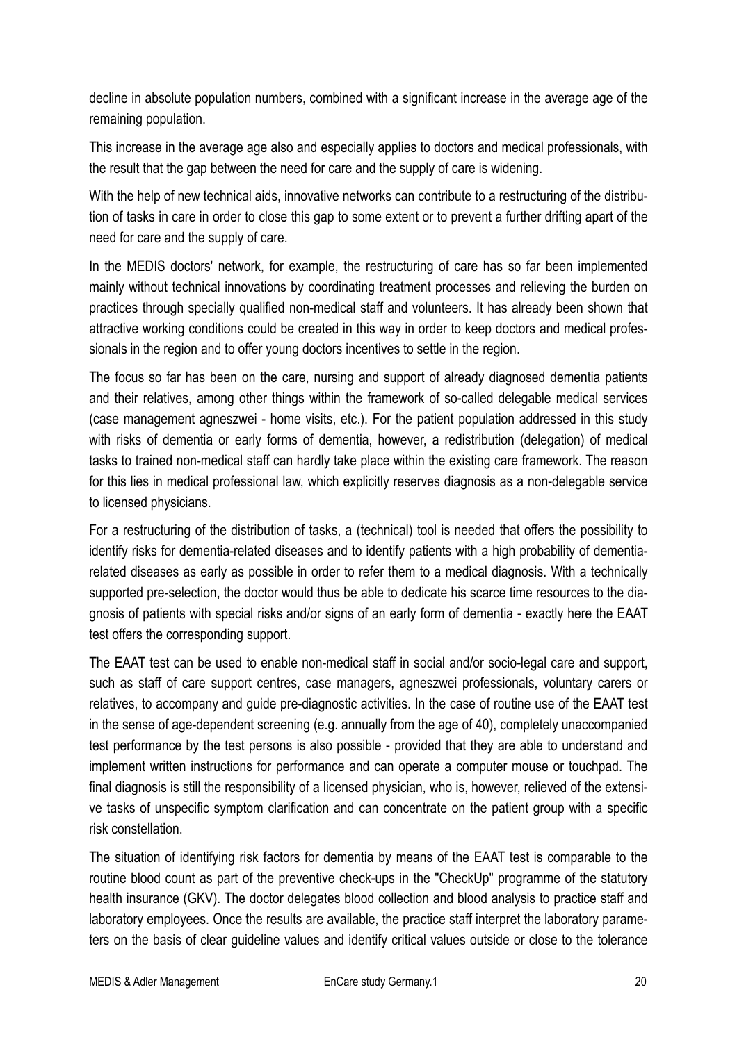decline in absolute population numbers, combined with a significant increase in the average age of the remaining population.

This increase in the average age also and especially applies to doctors and medical professionals, with the result that the gap between the need for care and the supply of care is widening.

With the help of new technical aids, innovative networks can contribute to a restructuring of the distribution of tasks in care in order to close this gap to some extent or to prevent a further drifting apart of the need for care and the supply of care.

In the MEDIS doctors' network, for example, the restructuring of care has so far been implemented mainly without technical innovations by coordinating treatment processes and relieving the burden on practices through specially qualified non-medical staff and volunteers. It has already been shown that attractive working conditions could be created in this way in order to keep doctors and medical professionals in the region and to offer young doctors incentives to settle in the region.

The focus so far has been on the care, nursing and support of already diagnosed dementia patients and their relatives, among other things within the framework of so-called delegable medical services (case management agneszwei - home visits, etc.). For the patient population addressed in this study with risks of dementia or early forms of dementia, however, a redistribution (delegation) of medical tasks to trained non-medical staff can hardly take place within the existing care framework. The reason for this lies in medical professional law, which explicitly reserves diagnosis as a non-delegable service to licensed physicians.

For a restructuring of the distribution of tasks, a (technical) tool is needed that offers the possibility to identify risks for dementia-related diseases and to identify patients with a high probability of dementiarelated diseases as early as possible in order to refer them to a medical diagnosis. With a technically supported pre-selection, the doctor would thus be able to dedicate his scarce time resources to the diagnosis of patients with special risks and/or signs of an early form of dementia - exactly here the EAAT test offers the corresponding support.

The EAAT test can be used to enable non-medical staff in social and/or socio-legal care and support, such as staff of care support centres, case managers, agneszwei professionals, voluntary carers or relatives, to accompany and guide pre-diagnostic activities. In the case of routine use of the EAAT test in the sense of age-dependent screening (e.g. annually from the age of 40), completely unaccompanied test performance by the test persons is also possible - provided that they are able to understand and implement written instructions for performance and can operate a computer mouse or touchpad. The final diagnosis is still the responsibility of a licensed physician, who is, however, relieved of the extensive tasks of unspecific symptom clarification and can concentrate on the patient group with a specific risk constellation.

The situation of identifying risk factors for dementia by means of the EAAT test is comparable to the routine blood count as part of the preventive check-ups in the "CheckUp" programme of the statutory health insurance (GKV). The doctor delegates blood collection and blood analysis to practice staff and laboratory employees. Once the results are available, the practice staff interpret the laboratory parameters on the basis of clear guideline values and identify critical values outside or close to the tolerance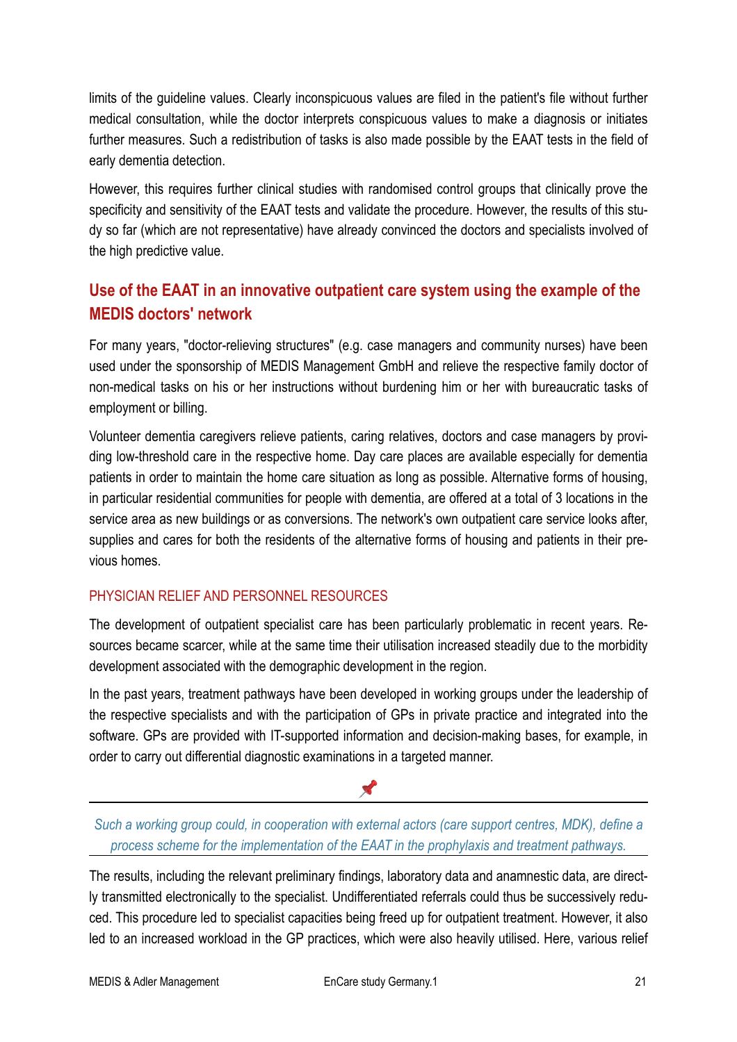limits of the guideline values. Clearly inconspicuous values are filed in the patient's file without further medical consultation, while the doctor interprets conspicuous values to make a diagnosis or initiates further measures. Such a redistribution of tasks is also made possible by the EAAT tests in the field of early dementia detection.

However, this requires further clinical studies with randomised control groups that clinically prove the specificity and sensitivity of the EAAT tests and validate the procedure. However, the results of this study so far (which are not representative) have already convinced the doctors and specialists involved of the high predictive value.

## <span id="page-20-0"></span>**Use of the EAAT in an innovative outpatient care system using the example of the MEDIS doctors' network**

For many years, "doctor-relieving structures" (e.g. case managers and community nurses) have been used under the sponsorship of MEDIS Management GmbH and relieve the respective family doctor of non-medical tasks on his or her instructions without burdening him or her with bureaucratic tasks of employment or billing.

Volunteer dementia caregivers relieve patients, caring relatives, doctors and case managers by providing low-threshold care in the respective home. Day care places are available especially for dementia patients in order to maintain the home care situation as long as possible. Alternative forms of housing, in particular residential communities for people with dementia, are offered at a total of 3 locations in the service area as new buildings or as conversions. The network's own outpatient care service looks after, supplies and cares for both the residents of the alternative forms of housing and patients in their previous homes.

#### PHYSICIAN RELIEF AND PERSONNEL RESOURCES

The development of outpatient specialist care has been particularly problematic in recent years. Resources became scarcer, while at the same time their utilisation increased steadily due to the morbidity development associated with the demographic development in the region.

In the past years, treatment pathways have been developed in working groups under the leadership of the respective specialists and with the participation of GPs in private practice and integrated into the software. GPs are provided with IT-supported information and decision-making bases, for example, in order to carry out differential diagnostic examinations in a targeted manner.

#### *Such a working group could, in cooperation with external actors (care support centres, MDK), define a process scheme for the implementation of the EAAT in the prophylaxis and treatment pathways.*

**Contract Contract** 

The results, including the relevant preliminary findings, laboratory data and anamnestic data, are directly transmitted electronically to the specialist. Undifferentiated referrals could thus be successively reduced. This procedure led to specialist capacities being freed up for outpatient treatment. However, it also led to an increased workload in the GP practices, which were also heavily utilised. Here, various relief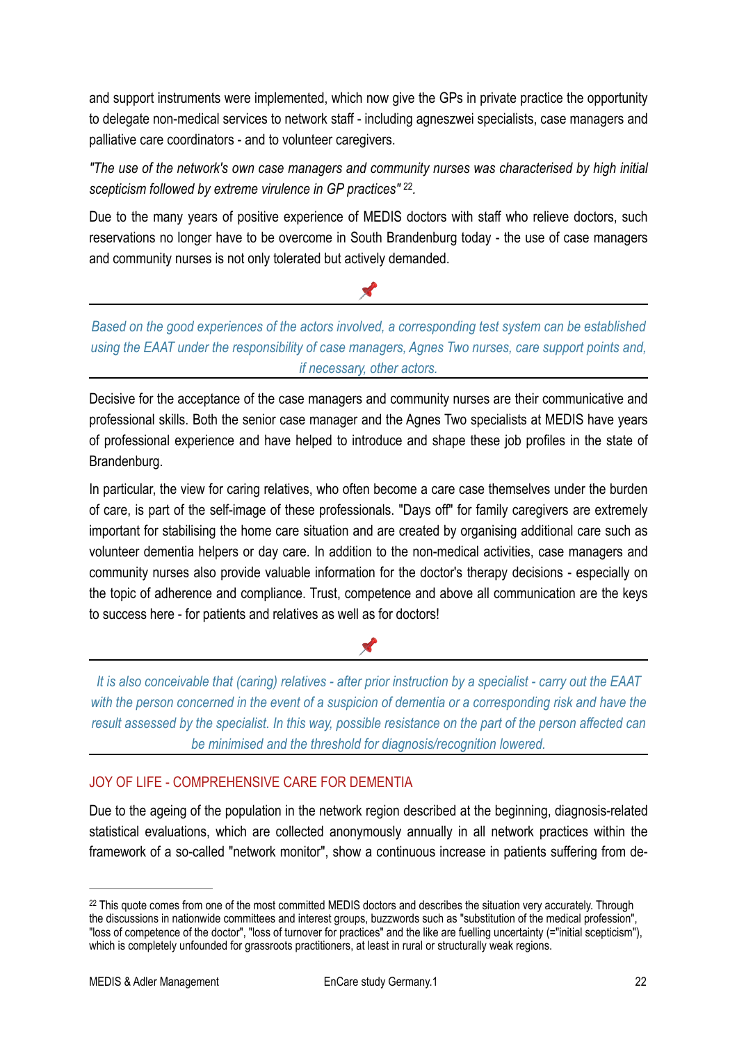and support instruments were implemented, which now give the GPs in private practice the opportunity to delegate non-medical services to network staff - including agneszwei specialists, case managers and palliative care coordinators - and to volunteer caregivers.

*"The use of the network's own case managers and community nurses was characterised by high initial*  scepticism followed by extreme virulence in GP practices" <sup>22</sup>.

Due to the many years of positive experience of MEDIS doctors with staff who relieve doctors, such reservations no longer have to be overcome in South Brandenburg today - the use of case managers and community nurses is not only tolerated but actively demanded.

*Based on the good experiences of the actors involved, a corresponding test system can be established using the EAAT under the responsibility of case managers, Agnes Two nurses, care support points and, if necessary, other actors.*

<span id="page-21-1"></span>X

Decisive for the acceptance of the case managers and community nurses are their communicative and professional skills. Both the senior case manager and the Agnes Two specialists at MEDIS have years of professional experience and have helped to introduce and shape these job profiles in the state of Brandenburg.

In particular, the view for caring relatives, who often become a care case themselves under the burden of care, is part of the self-image of these professionals. "Days off" for family caregivers are extremely important for stabilising the home care situation and are created by organising additional care such as volunteer dementia helpers or day care. In addition to the non-medical activities, case managers and community nurses also provide valuable information for the doctor's therapy decisions - especially on the topic of adherence and compliance. Trust, competence and above all communication are the keys to success here - for patients and relatives as well as for doctors!

## X

*It is also conceivable that (caring) relatives - after prior instruction by a specialist - carry out the EAAT*  with the person concerned in the event of a suspicion of dementia or a corresponding risk and have the *result assessed by the specialist. In this way, possible resistance on the part of the person affected can be minimised and the threshold for diagnosis/recognition lowered.* 

#### JOY OF LIFE - COMPREHENSIVE CARE FOR DEMENTIA

Due to the ageing of the population in the network region described at the beginning, diagnosis-related statistical evaluations, which are collected anonymously annually in all network practices within the framework of a so-called "network monitor", show a continuous increase in patients suffering from de-

<span id="page-21-0"></span><sup>&</sup>lt;sup>[22](#page-21-1)</sup> This quote comes from one of the most committed MEDIS doctors and describes the situation very accurately. Through the discussions in nationwide committees and interest groups, buzzwords such as "substitution of the medical profession", "loss of competence of the doctor", "loss of turnover for practices" and the like are fuelling uncertainty (="initial scepticism"), which is completely unfounded for grassroots practitioners, at least in rural or structurally weak regions.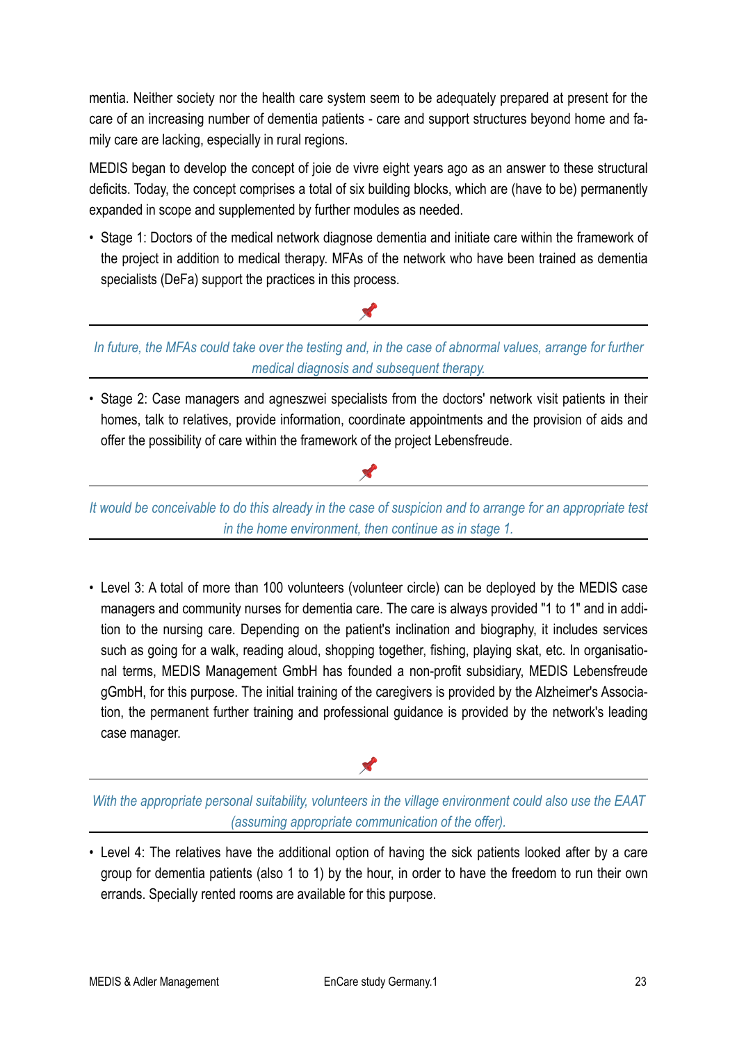mentia. Neither society nor the health care system seem to be adequately prepared at present for the care of an increasing number of dementia patients - care and support structures beyond home and family care are lacking, especially in rural regions.

MEDIS began to develop the concept of joie de vivre eight years ago as an answer to these structural deficits. Today, the concept comprises a total of six building blocks, which are (have to be) permanently expanded in scope and supplemented by further modules as needed.

• Stage 1: Doctors of the medical network diagnose dementia and initiate care within the framework of the project in addition to medical therapy. MFAs of the network who have been trained as dementia specialists (DeFa) support the practices in this process.

*In future, the MFAs could take over the testing and, in the case of abnormal values, arrange for further medical diagnosis and subsequent therapy.*

X

• Stage 2: Case managers and agneszwei specialists from the doctors' network visit patients in their homes, talk to relatives, provide information, coordinate appointments and the provision of aids and offer the possibility of care within the framework of the project Lebensfreude.

*It would be conceivable to do this already in the case of suspicion and to arrange for an appropriate test in the home environment, then continue as in stage 1.*

X

• Level 3: A total of more than 100 volunteers (volunteer circle) can be deployed by the MEDIS case managers and community nurses for dementia care. The care is always provided "1 to 1" and in addition to the nursing care. Depending on the patient's inclination and biography, it includes services such as going for a walk, reading aloud, shopping together, fishing, playing skat, etc. In organisational terms, MEDIS Management GmbH has founded a non-profit subsidiary, MEDIS Lebensfreude gGmbH, for this purpose. The initial training of the caregivers is provided by the Alzheimer's Association, the permanent further training and professional guidance is provided by the network's leading case manager.

*With the appropriate personal suitability, volunteers in the village environment could also use the EAAT (assuming appropriate communication of the offer).*

X

• Level 4: The relatives have the additional option of having the sick patients looked after by a care group for dementia patients (also 1 to 1) by the hour, in order to have the freedom to run their own errands. Specially rented rooms are available for this purpose.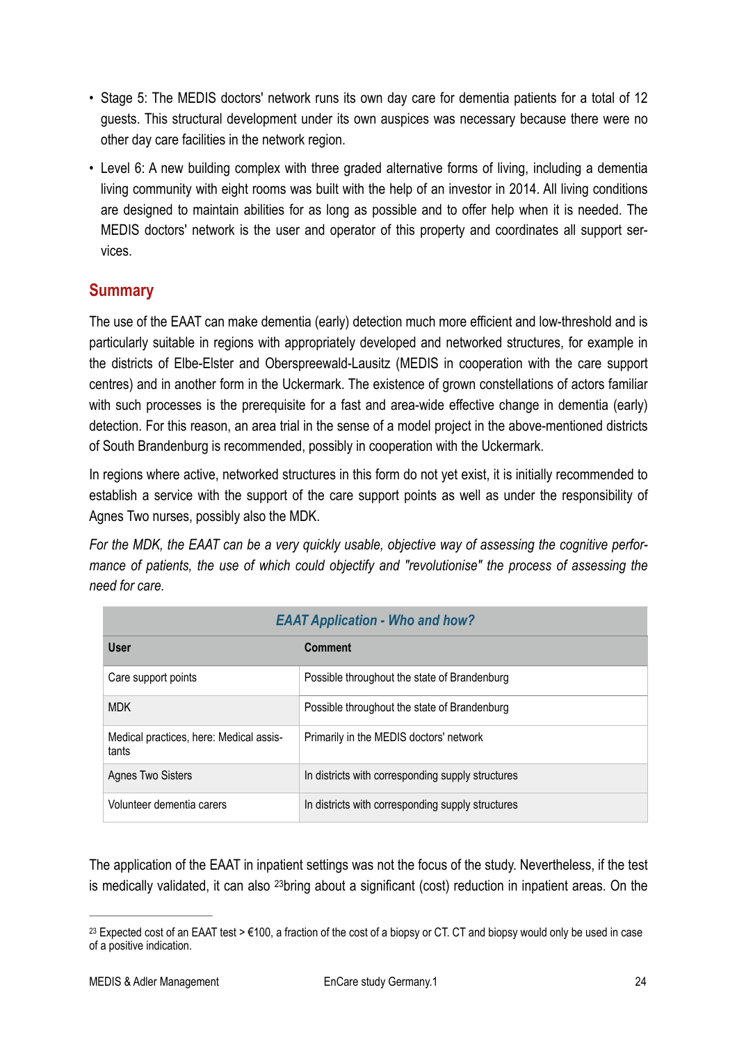- Stage 5: The MEDIS doctors' network runs its own day care for dementia patients for a total of 12 guests. This structural development under its own auspices was necessary because there were no other day care facilities in the network region.
- Level 6: A new building complex with three graded alternative forms of living, including a dementia living community with eight rooms was built with the help of an investor in 2014. All living conditions are designed to maintain abilities for as long as possible and to offer help when it is needed. The MEDIS doctors' network is the user and operator of this property and coordinates all support services.

## <span id="page-23-0"></span>**Summary**

The use of the EAAT can make dementia (early) detection much more efficient and low-threshold and is particularly suitable in regions with appropriately developed and networked structures, for example in the districts of Elbe-Elster and Oberspreewald-Lausitz (MEDIS in cooperation with the care support centres) and in another form in the Uckermark. The existence of grown constellations of actors familiar with such processes is the prerequisite for a fast and area-wide effective change in dementia (early) detection. For this reason, an area trial in the sense of a model project in the above-mentioned districts of South Brandenburg is recommended, possibly in cooperation with the Uckermark.

In regions where active, networked structures in this form do not yet exist, it is initially recommended to establish a service with the support of the care support points as well as under the responsibility of Agnes Two nurses, possibly also the MDK.

*For the MDK, the EAAT can be a very quickly usable, objective way of assessing the cognitive performance of patients, the use of which could objectify and "revolutionise" the process of assessing the need for care.*

| <b>EAAT Application - Who and how?</b>           |                                                   |  |  |  |  |
|--------------------------------------------------|---------------------------------------------------|--|--|--|--|
| <b>User</b>                                      | Comment                                           |  |  |  |  |
| Care support points                              | Possible throughout the state of Brandenburg      |  |  |  |  |
| <b>MDK</b>                                       | Possible throughout the state of Brandenburg      |  |  |  |  |
| Medical practices, here: Medical assis-<br>tants | Primarily in the MEDIS doctors' network           |  |  |  |  |
| <b>Agnes Two Sisters</b>                         | In districts with corresponding supply structures |  |  |  |  |
| Volunteer dementia carers                        | In districts with corresponding supply structures |  |  |  |  |

<span id="page-23-2"></span>The application of the EAAT in inpatient settings was not the focus of the study. Nevertheless, if the test is medically validated, it can also <sup>23</sup>[b](#page-23-1)ring about a significant (cost) reduction in inpatient areas. On the

<span id="page-23-1"></span><sup>&</sup>lt;sup>[23](#page-23-2)</sup> Expected cost of an EAAT test  $> \epsilon$ 100, a fraction of the cost of a biopsy or CT. CT and biopsy would only be used in case of a positive indication.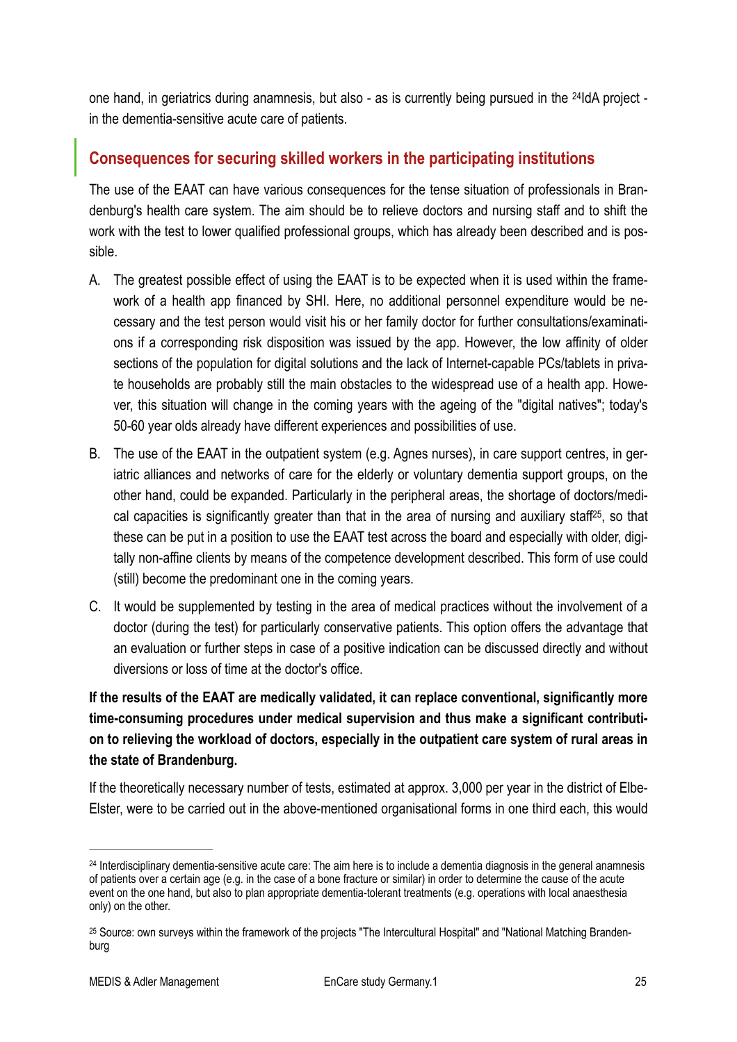<span id="page-24-3"></span>one hand, in geriatrics during anamnesis, but also - as is currently being pursued in the <sup>[24](#page-24-1)</sup>ldA project in the dementia-sensitive acute care of patients.

## <span id="page-24-0"></span>**Consequences for securing skilled workers in the participating institutions**

The use of the EAAT can have various consequences for the tense situation of professionals in Brandenburg's health care system. The aim should be to relieve doctors and nursing staff and to shift the work with the test to lower qualified professional groups, which has already been described and is possible.

- A. The greatest possible effect of using the EAAT is to be expected when it is used within the framework of a health app financed by SHI. Here, no additional personnel expenditure would be necessary and the test person would visit his or her family doctor for further consultations/examinations if a corresponding risk disposition was issued by the app. However, the low affinity of older sections of the population for digital solutions and the lack of Internet-capable PCs/tablets in private households are probably still the main obstacles to the widespread use of a health app. However, this situation will change in the coming years with the ageing of the "digital natives"; today's 50-60 year olds already have different experiences and possibilities of use.
- <span id="page-24-4"></span>B. The use of the EAAT in the outpatient system (e.g. Agnes nurses), in care support centres, in geriatric alliances and networks of care for the elderly or voluntary dementia support groups, on the other hand, could be expanded. Particularly in the peripheral areas, the shortage of doctors/medi-cal capacities is significantly greater than that in the area of nursing and auxiliary staff<sup>25</sup>[,](#page-24-2) so that these can be put in a position to use the EAAT test across the board and especially with older, digitally non-affine clients by means of the competence development described. This form of use could (still) become the predominant one in the coming years.
- C. It would be supplemented by testing in the area of medical practices without the involvement of a doctor (during the test) for particularly conservative patients. This option offers the advantage that an evaluation or further steps in case of a positive indication can be discussed directly and without diversions or loss of time at the doctor's office.

## **If the results of the EAAT are medically validated, it can replace conventional, significantly more time-consuming procedures under medical supervision and thus make a significant contribution to relieving the workload of doctors, especially in the outpatient care system of rural areas in the state of Brandenburg.**

If the theoretically necessary number of tests, estimated at approx. 3,000 per year in the district of Elbe-Elster, were to be carried out in the above-mentioned organisational forms in one third each, this would

<span id="page-24-1"></span><sup>&</sup>lt;sup>[24](#page-24-3)</sup> Interdisciplinary dementia-sensitive acute care: The aim here is to include a dementia diagnosis in the general anamnesis of patients over a certain age (e.g. in the case of a bone fracture or similar) in order to determine the cause of the acute event on the one hand, but also to plan appropriate dementia-tolerant treatments (e.g. operations with local anaesthesia only) on the other.

<span id="page-24-2"></span><sup>&</sup>lt;sup>[25](#page-24-4)</sup> Source: own surveys within the framework of the projects "The Intercultural Hospital" and "National Matching Brandenburg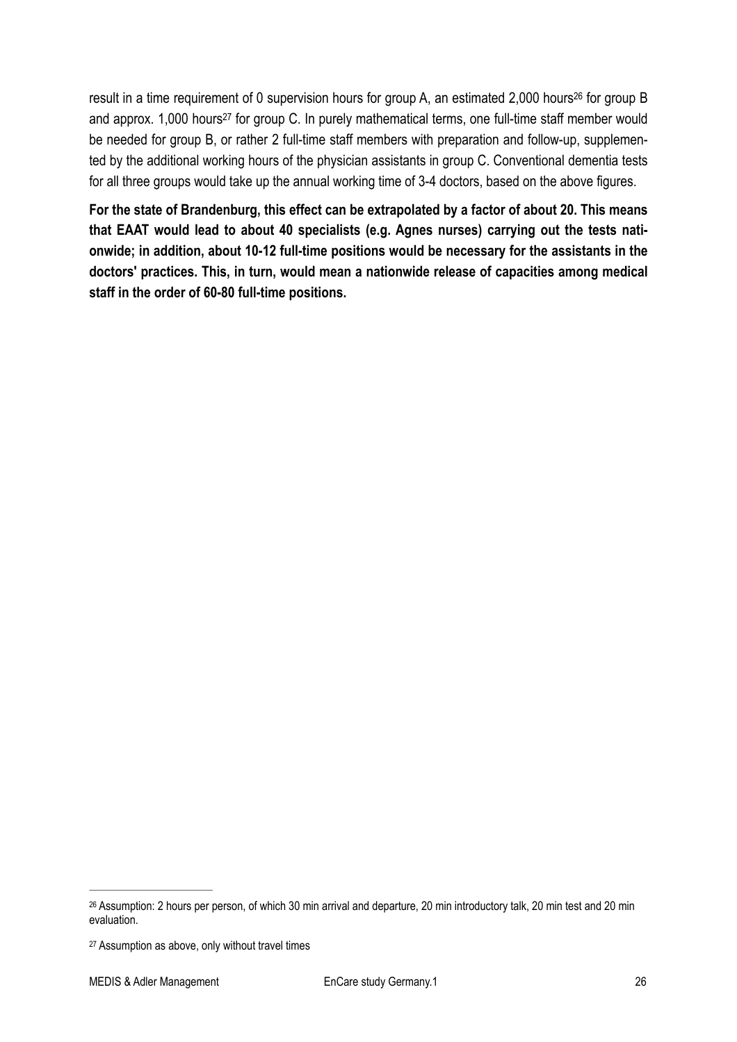<span id="page-25-3"></span><span id="page-25-2"></span>re[s](#page-25-0)ult in a time requirement of 0 supervision hours for group A, an estimated 2,000 hours<sup>[26](#page-25-0)</sup> for group B and approx. 1,000 hours<sup>[27](#page-25-1)</sup> for group C. In purely mathematical terms, one full-time staff member would be needed for group B, or rather 2 full-time staff members with preparation and follow-up, supplemented by the additional working hours of the physician assistants in group C. Conventional dementia tests for all three groups would take up the annual working time of 3-4 doctors, based on the above figures.

**For the state of Brandenburg, this effect can be extrapolated by a factor of about 20. This means that EAAT would lead to about 40 specialists (e.g. Agnes nurses) carrying out the tests nationwide; in addition, about 10-12 full-time positions would be necessary for the assistants in the doctors' practices. This, in turn, would mean a nationwide release of capacities among medical staff in the order of 60-80 full-time positions.**

<span id="page-25-0"></span>[<sup>26</sup>](#page-25-2) Assumption: 2 hours per person, of which 30 min arrival and departure, 20 min introductory talk, 20 min test and 20 min evaluation.

<span id="page-25-1"></span>[<sup>27</sup>](#page-25-3) Assumption as above, only without travel times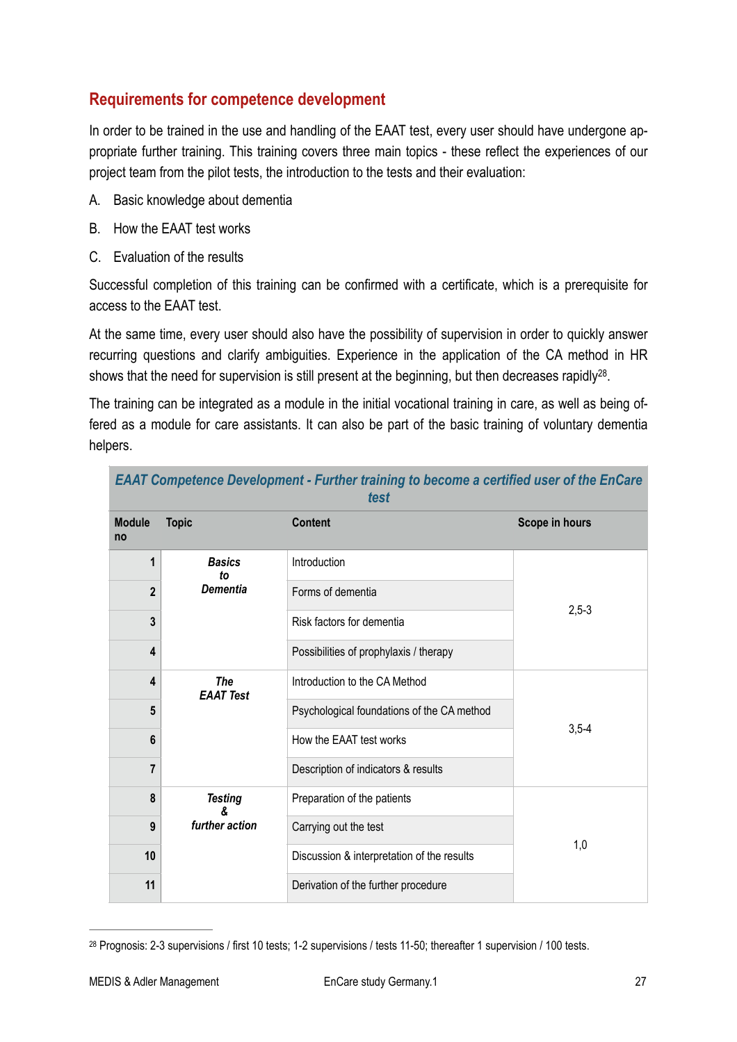#### <span id="page-26-0"></span>**Requirements for competence development**

In order to be trained in the use and handling of the EAAT test, every user should have undergone appropriate further training. This training covers three main topics - these reflect the experiences of our project team from the pilot tests, the introduction to the tests and their evaluation:

- A. Basic knowledge about dementia
- B. How the EAAT test works
- C. Evaluation of the results

Successful completion of this training can be confirmed with a certificate, which is a prerequisite for access to the EAAT test.

At the same time, every user should also have the possibility of supervision in order to quickly answer recurring questions and clarify ambiguities. Experience in the application of the CA method in HR shows that the need for supervision is still present at the beginning, but then decreases rapidly<sup>[28](#page-26-1)</sup>.

The training can be integrated as a module in the initial vocational training in care, as well as being offered as a module for care assistants. It can also be part of the basic training of voluntary dementia helpers.

<span id="page-26-2"></span>*EAAT Competence Development - Further training to become a certified user of the EnCare* 

| test                    |                                        |                                            |                |  |  |  |
|-------------------------|----------------------------------------|--------------------------------------------|----------------|--|--|--|
| <b>Module</b><br>no     | <b>Topic</b>                           | <b>Content</b>                             | Scope in hours |  |  |  |
| 1                       | <b>Basics</b><br>to<br><b>Dementia</b> | Introduction                               |                |  |  |  |
| $\overline{2}$          |                                        | Forms of dementia                          |                |  |  |  |
| 3                       |                                        | Risk factors for dementia                  | $2,5-3$        |  |  |  |
| 4                       |                                        | Possibilities of prophylaxis / therapy     |                |  |  |  |
| 4                       | <b>The</b><br><b>EAAT Test</b>         | Introduction to the CA Method              |                |  |  |  |
| 5                       |                                        | Psychological foundations of the CA method |                |  |  |  |
| 6                       |                                        | How the EAAT test works                    | $3,5-4$        |  |  |  |
| $\overline{\mathbf{r}}$ |                                        | Description of indicators & results        |                |  |  |  |
| 8                       | <b>Testing</b><br>further action       | Preparation of the patients                |                |  |  |  |
| 9                       |                                        | Carrying out the test                      | 1,0            |  |  |  |
| 10                      |                                        | Discussion & interpretation of the results |                |  |  |  |
| 11                      |                                        | Derivation of the further procedure        |                |  |  |  |

<span id="page-26-1"></span><sup>&</sup>lt;sup>[28](#page-26-2)</sup> Prognosis: 2-3 supervisions / first 10 tests; 1-2 supervisions / tests 11-50; thereafter 1 supervision / 100 tests.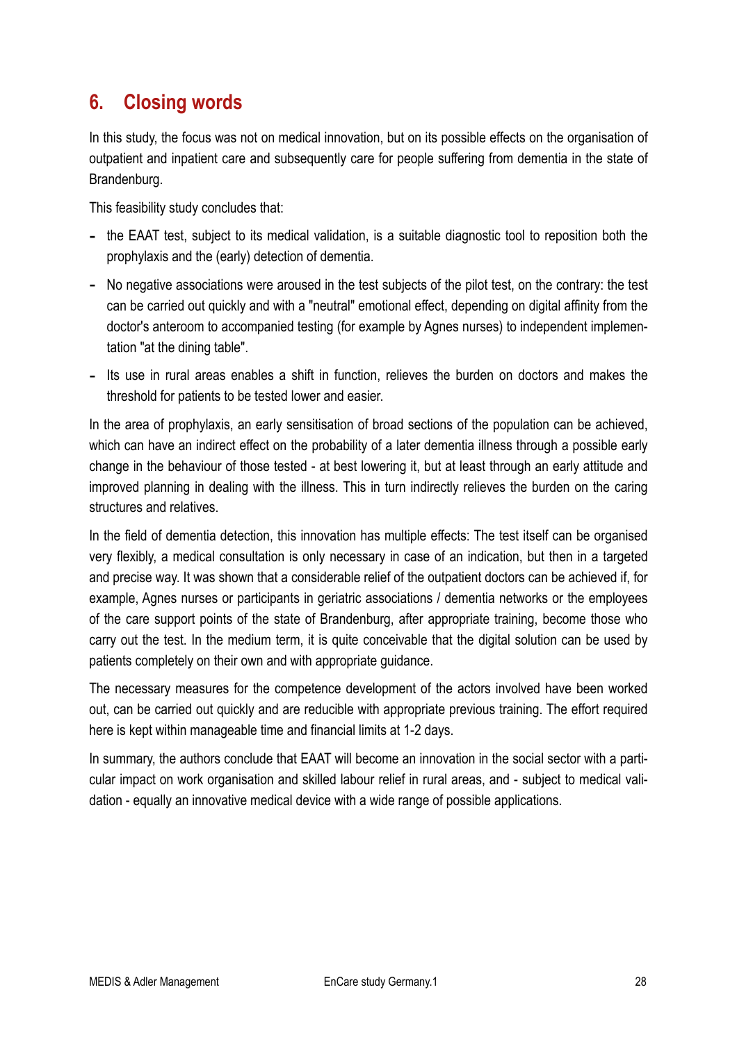# <span id="page-27-0"></span>**6. Closing words**

In this study, the focus was not on medical innovation, but on its possible effects on the organisation of outpatient and inpatient care and subsequently care for people suffering from dementia in the state of Brandenburg.

This feasibility study concludes that:

- the EAAT test, subject to its medical validation, is a suitable diagnostic tool to reposition both the prophylaxis and the (early) detection of dementia.
- No negative associations were aroused in the test subjects of the pilot test, on the contrary: the test can be carried out quickly and with a "neutral" emotional effect, depending on digital affinity from the doctor's anteroom to accompanied testing (for example by Agnes nurses) to independent implementation "at the dining table".
- Its use in rural areas enables a shift in function, relieves the burden on doctors and makes the threshold for patients to be tested lower and easier.

In the area of prophylaxis, an early sensitisation of broad sections of the population can be achieved, which can have an indirect effect on the probability of a later dementia illness through a possible early change in the behaviour of those tested - at best lowering it, but at least through an early attitude and improved planning in dealing with the illness. This in turn indirectly relieves the burden on the caring structures and relatives.

In the field of dementia detection, this innovation has multiple effects: The test itself can be organised very flexibly, a medical consultation is only necessary in case of an indication, but then in a targeted and precise way. It was shown that a considerable relief of the outpatient doctors can be achieved if, for example, Agnes nurses or participants in geriatric associations / dementia networks or the employees of the care support points of the state of Brandenburg, after appropriate training, become those who carry out the test. In the medium term, it is quite conceivable that the digital solution can be used by patients completely on their own and with appropriate guidance.

The necessary measures for the competence development of the actors involved have been worked out, can be carried out quickly and are reducible with appropriate previous training. The effort required here is kept within manageable time and financial limits at 1-2 days.

In summary, the authors conclude that EAAT will become an innovation in the social sector with a particular impact on work organisation and skilled labour relief in rural areas, and - subject to medical validation - equally an innovative medical device with a wide range of possible applications.